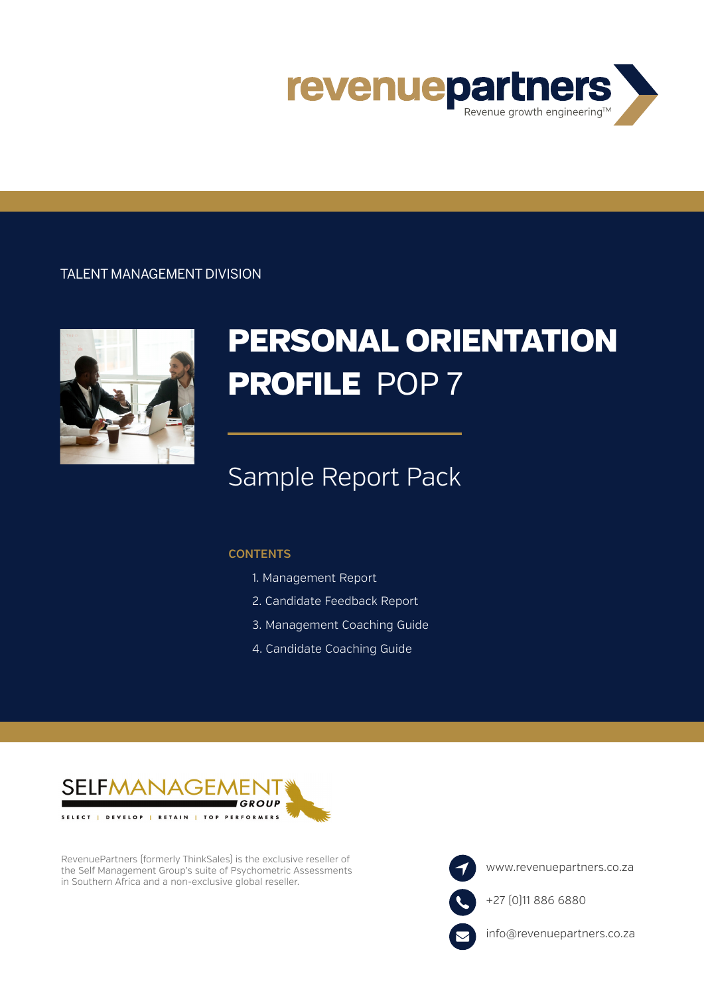

### TALENT MANAGEMENT DIVISION



# PERSONAL ORIENTATION PROFILE POP 7

## Sample Report Pack

#### **CONTENTS**

- 1. Management Report
- 2. Candidate Feedback Report
- 3. Management Coaching Guide
- 4. Candidate Coaching Guide



RevenuePartners (formerly ThinkSales) is the exclusive reseller of the Self Management Group's suite of Psychometric Assessments in Southern Africa and a non-exclusive global reseller.

www.revenuepartners.co.za +27 (0)11 886 6880 info@revenuepartners.co.za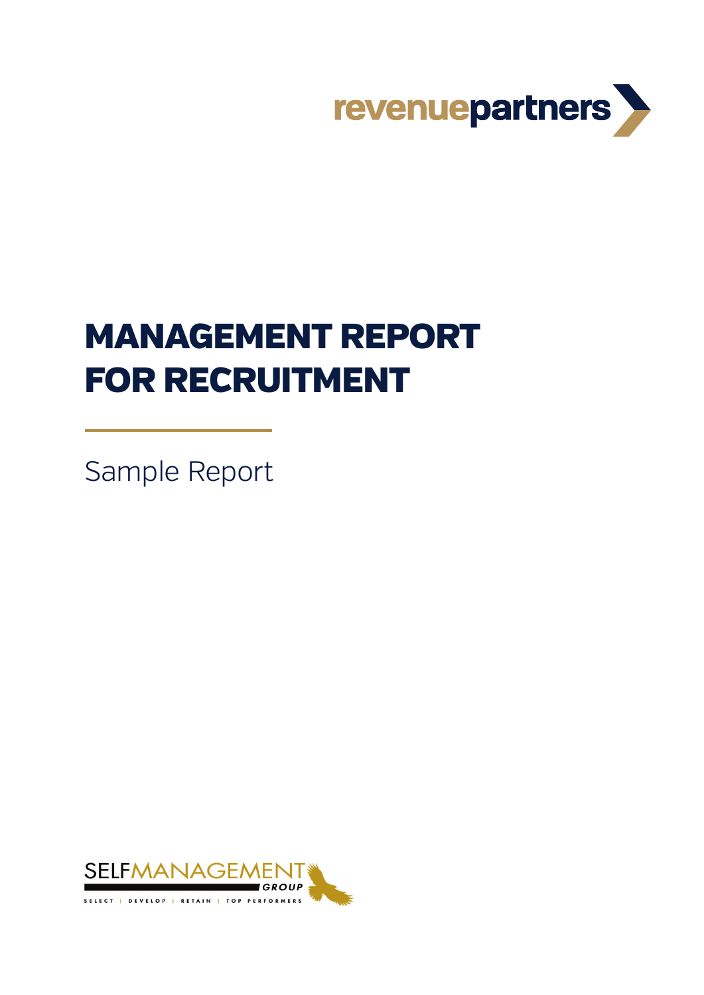

# MANAGEMENT REPORT FOR RECRUITMENT

Sample Report

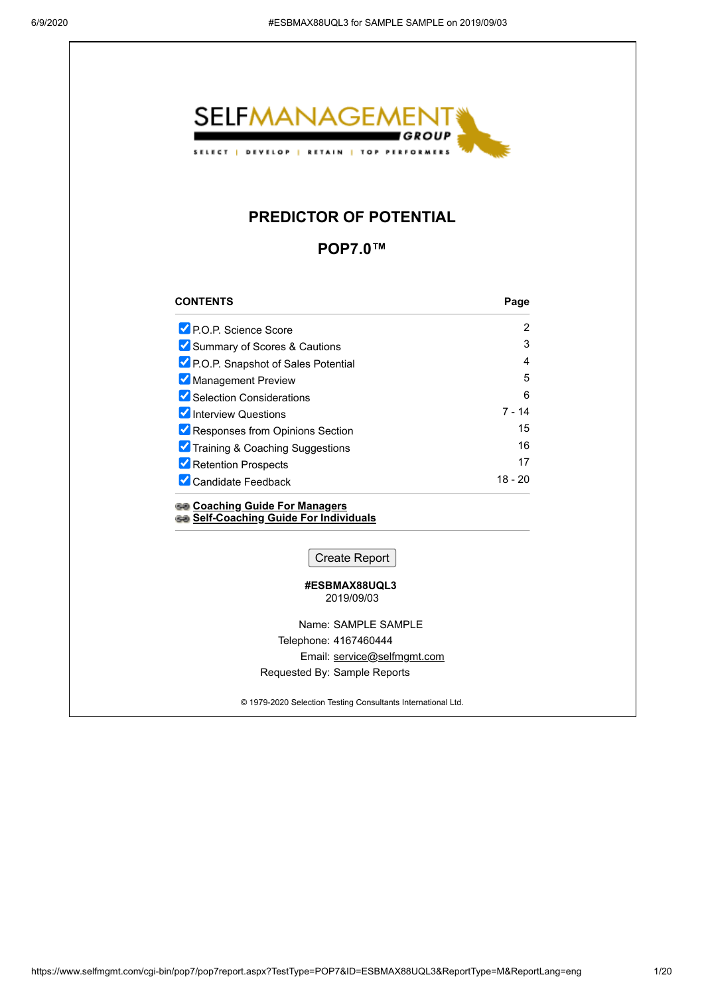

### **PREDICTOR OF POTENTIAL**

**POP7.0™**

| <b>CONTENTS</b>                    | Page    |
|------------------------------------|---------|
| P.O.P. Science Score               | 2       |
| Summary of Scores & Cautions       | 3       |
| P.O.P. Snapshot of Sales Potential | 4       |
| Management Preview                 | 5       |
| Selection Considerations           | 6       |
| Interview Questions                | 7 - 14  |
| Responses from Opinions Section    | 15      |
| Training & Coaching Suggestions    | 16      |
| Retention Prospects                | 17      |
| <b>Candidate Feedback</b>          | 18 - 20 |
|                                    |         |

**[Coaching Guide For Managers](https://www.selfmgmt.com/cgi-bin/dotnet/pop7coaching/coach.aspx?id=ESBMAX88UQL3%20%20%20%20%20%20%20%20%20%20%20%20%20%20%20%20%20%20%20%20%20%20%20%20&ReportLang=eng) [Self-Coaching Guide For Individuals](https://www.selfmgmt.com/cgi-bin/dotnet/pop7coaching/feedback.aspx?id=ESBMAX88UQL3%20%20%20%20%20%20%20%20%20%20%20%20%20%20%20%20%20%20%20%20%20%20%20%20&ReportLang=eng)**

Create Report

#### **#ESBMAX88UQL3**  2019/09/03

Name: SAMPLE SAMPLE

Telephone: 4167460444

Email: [service@selfmgmt.com](mailto:service@selfmgmt.com)

Requested By: Sample Reports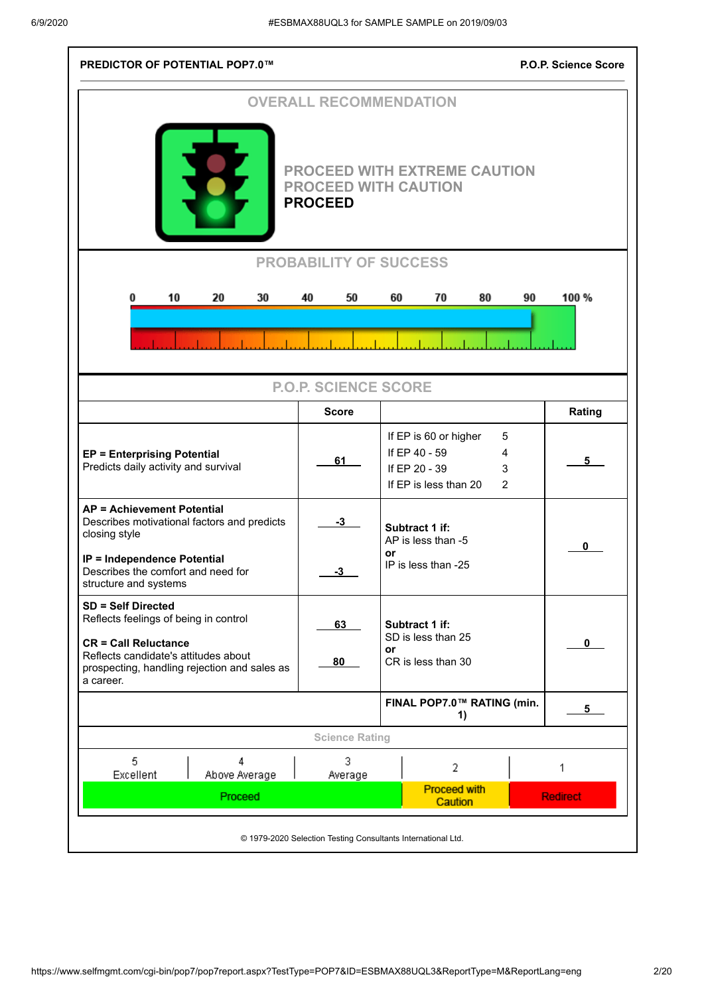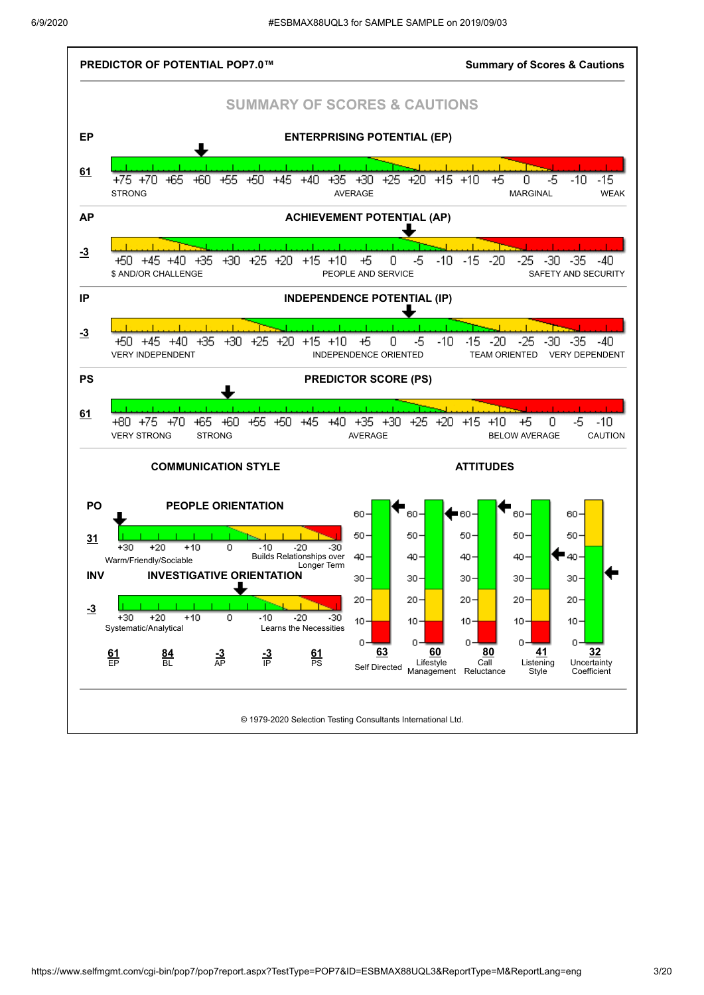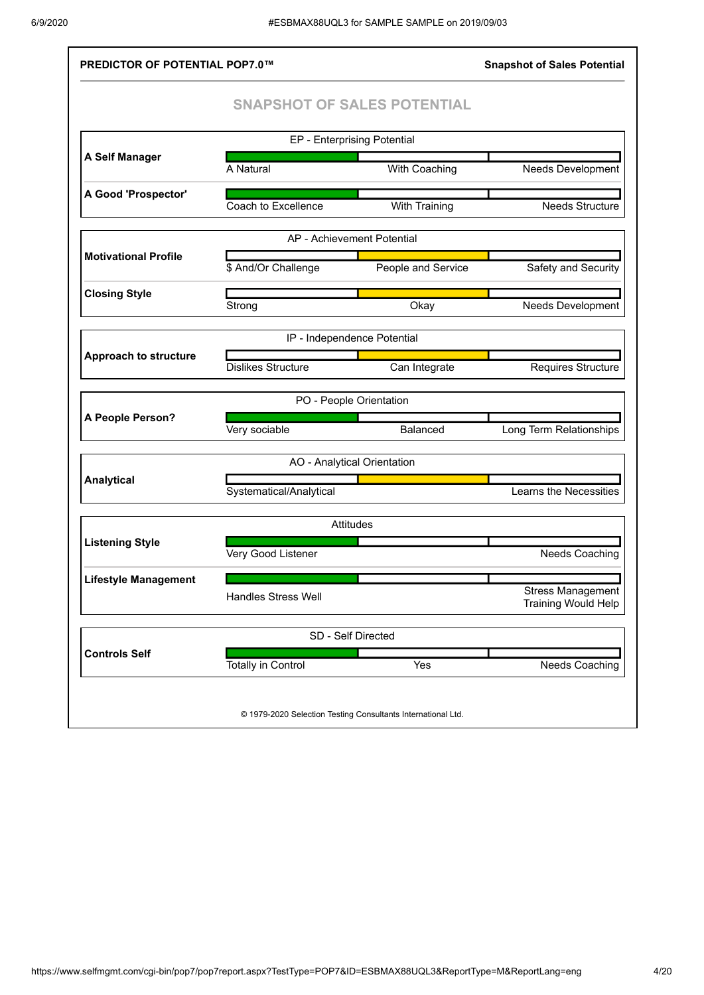| <b>PREDICTOR OF POTENTIAL POP7.0™</b>                                 |                                                              |                      | <b>Snapshot of Sales Potential</b>                     |  |  |  |  |  |
|-----------------------------------------------------------------------|--------------------------------------------------------------|----------------------|--------------------------------------------------------|--|--|--|--|--|
|                                                                       | <b>SNAPSHOT OF SALES POTENTIAL</b>                           |                      |                                                        |  |  |  |  |  |
|                                                                       | EP - Enterprising Potential                                  |                      |                                                        |  |  |  |  |  |
| A Self Manager                                                        | A Natural                                                    | With Coaching        | <b>Needs Development</b>                               |  |  |  |  |  |
| A Good 'Prospector'                                                   | Coach to Excellence                                          | <b>With Training</b> | <b>Needs Structure</b>                                 |  |  |  |  |  |
|                                                                       | AP - Achievement Potential                                   |                      |                                                        |  |  |  |  |  |
| <b>Motivational Profile</b>                                           | \$ And/Or Challenge                                          | People and Service   | Safety and Security                                    |  |  |  |  |  |
| <b>Closing Style</b>                                                  | Strong                                                       | Okay                 | Needs Development                                      |  |  |  |  |  |
|                                                                       | IP - Independence Potential                                  |                      |                                                        |  |  |  |  |  |
| <b>Approach to structure</b>                                          | <b>Dislikes Structure</b>                                    | Can Integrate        | Requires Structure                                     |  |  |  |  |  |
|                                                                       | PO - People Orientation                                      |                      |                                                        |  |  |  |  |  |
| A People Person?                                                      | Very sociable                                                | <b>Balanced</b>      | Long Term Relationships                                |  |  |  |  |  |
|                                                                       | AO - Analytical Orientation                                  |                      |                                                        |  |  |  |  |  |
| <b>Analytical</b>                                                     | Systematical/Analytical                                      |                      | Learns the Necessities                                 |  |  |  |  |  |
|                                                                       | <b>Attitudes</b>                                             |                      |                                                        |  |  |  |  |  |
| <b>Listening Style</b><br>Very Good Listener<br><b>Needs Coaching</b> |                                                              |                      |                                                        |  |  |  |  |  |
| <b>Lifestyle Management</b>                                           | <b>Handles Stress Well</b>                                   |                      | <b>Stress Management</b><br><b>Training Would Help</b> |  |  |  |  |  |
| SD - Self Directed                                                    |                                                              |                      |                                                        |  |  |  |  |  |
| <b>Controls Self</b>                                                  | <b>Totally in Control</b>                                    | Yes                  | <b>Needs Coaching</b>                                  |  |  |  |  |  |
|                                                                       | © 1979-2020 Selection Testing Consultants International Ltd. |                      |                                                        |  |  |  |  |  |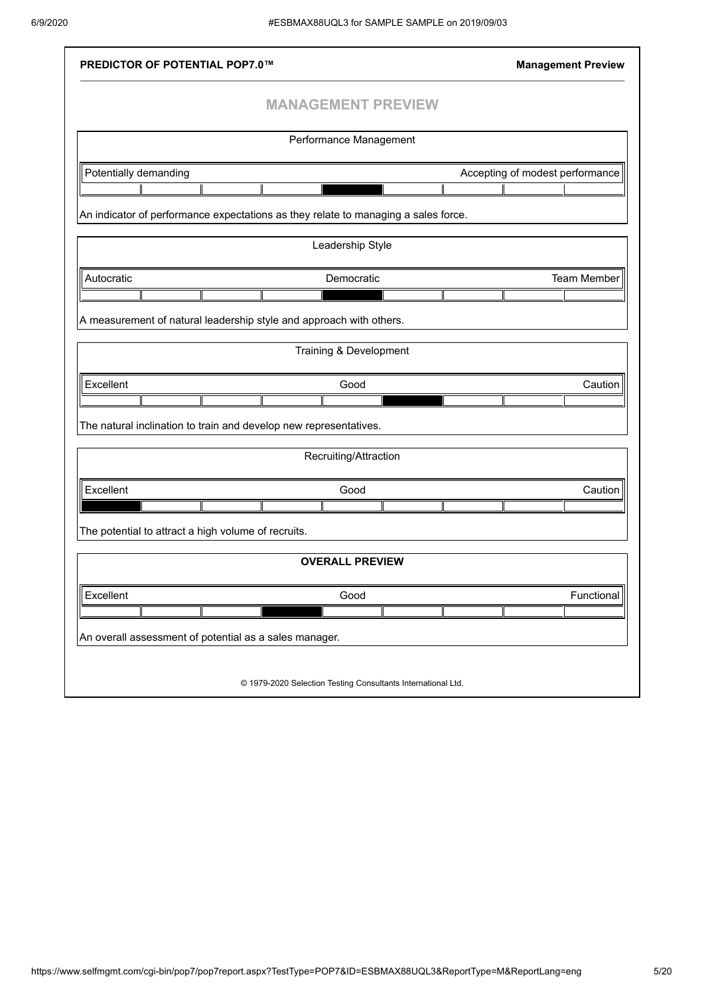| <b>PREDICTOR OF POTENTIAL POP7.0™</b>                  |                                                                                               | <b>Management Preview</b>       |
|--------------------------------------------------------|-----------------------------------------------------------------------------------------------|---------------------------------|
|                                                        | <b>MANAGEMENT PREVIEW</b>                                                                     |                                 |
|                                                        | Performance Management                                                                        |                                 |
|                                                        |                                                                                               |                                 |
| Potentially demanding                                  |                                                                                               | Accepting of modest performance |
|                                                        |                                                                                               |                                 |
|                                                        | An indicator of performance expectations as they relate to managing a sales force.            |                                 |
|                                                        | Leadership Style                                                                              |                                 |
| Autocratic                                             | Democratic                                                                                    | Team Member                     |
|                                                        |                                                                                               |                                 |
|                                                        | A measurement of natural leadership style and approach with others.<br>Training & Development |                                 |
| Excellent                                              | Good                                                                                          | Caution                         |
|                                                        |                                                                                               |                                 |
|                                                        | The natural inclination to train and develop new representatives.                             |                                 |
|                                                        | Recruiting/Attraction                                                                         |                                 |
|                                                        |                                                                                               |                                 |
| Excellent                                              | Good                                                                                          | Caution                         |
|                                                        |                                                                                               |                                 |
| The potential to attract a high volume of recruits.    |                                                                                               |                                 |
|                                                        | <b>OVERALL PREVIEW</b>                                                                        |                                 |
| Excellent                                              | Good                                                                                          | Functional                      |
|                                                        |                                                                                               |                                 |
| An overall assessment of potential as a sales manager. |                                                                                               |                                 |
|                                                        |                                                                                               |                                 |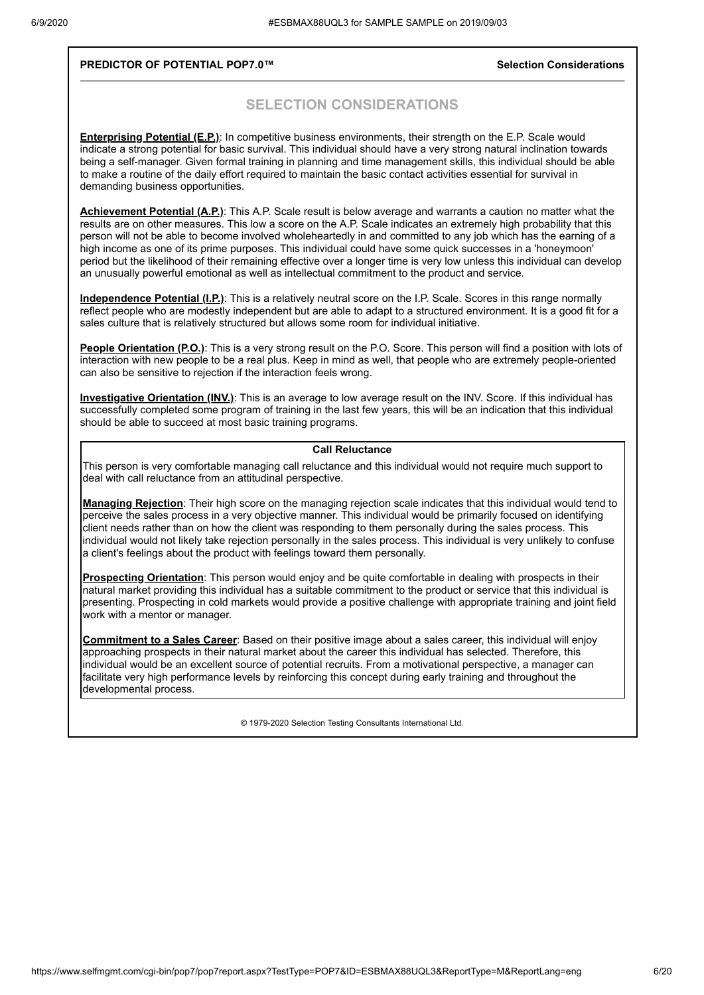#### **PREDICTOR OF POTENTIAL POP7.0™ Selection Considerations**

### **SELECTION CONSIDERATIONS**

**Enterprising Potential (E.P.)**: In competitive business environments, their strength on the E.P. Scale would indicate a strong potential for basic survival. This individual should have a very strong natural inclination towards being a self-manager. Given formal training in planning and time management skills, this individual should be able to make a routine of the daily effort required to maintain the basic contact activities essential for survival in demanding business opportunities.

**Achievement Potential (A.P.)**: This A.P. Scale result is below average and warrants a caution no matter what the results are on other measures. This low a score on the A.P. Scale indicates an extremely high probability that this person will not be able to become involved wholeheartedly in and committed to any job which has the earning of a high income as one of its prime purposes. This individual could have some quick successes in a 'honeymoon' period but the likelihood of their remaining effective over a longer time is very low unless this individual can develop an unusually powerful emotional as well as intellectual commitment to the product and service.

**Independence Potential (I.P.)**: This is a relatively neutral score on the I.P. Scale. Scores in this range normally reflect people who are modestly independent but are able to adapt to a structured environment. It is a good fit for a sales culture that is relatively structured but allows some room for individual initiative.

**People Orientation (P.O.)**: This is a very strong result on the P.O. Score. This person will find a position with lots of interaction with new people to be a real plus. Keep in mind as well, that people who are extremely people-oriented can also be sensitive to rejection if the interaction feels wrong.

**Investigative Orientation (INV.)**: This is an average to low average result on the INV. Score. If this individual has successfully completed some program of training in the last few years, this will be an indication that this individual should be able to succeed at most basic training programs.

#### **Call Reluctance**

This person is very comfortable managing call reluctance and this individual would not require much support to deal with call reluctance from an attitudinal perspective.

**Managing Rejection**: Their high score on the managing rejection scale indicates that this individual would tend to perceive the sales process in a very objective manner. This individual would be primarily focused on identifying client needs rather than on how the client was responding to them personally during the sales process. This individual would not likely take rejection personally in the sales process. This individual is very unlikely to confuse a client's feelings about the product with feelings toward them personally.

**Prospecting Orientation**: This person would enjoy and be quite comfortable in dealing with prospects in their natural market providing this individual has a suitable commitment to the product or service that this individual is presenting. Prospecting in cold markets would provide a positive challenge with appropriate training and joint field work with a mentor or manager.

**Commitment to a Sales Career**: Based on their positive image about a sales career, this individual will enjoy approaching prospects in their natural market about the career this individual has selected. Therefore, this individual would be an excellent source of potential recruits. From a motivational perspective, a manager can facilitate very high performance levels by reinforcing this concept during early training and throughout the developmental process.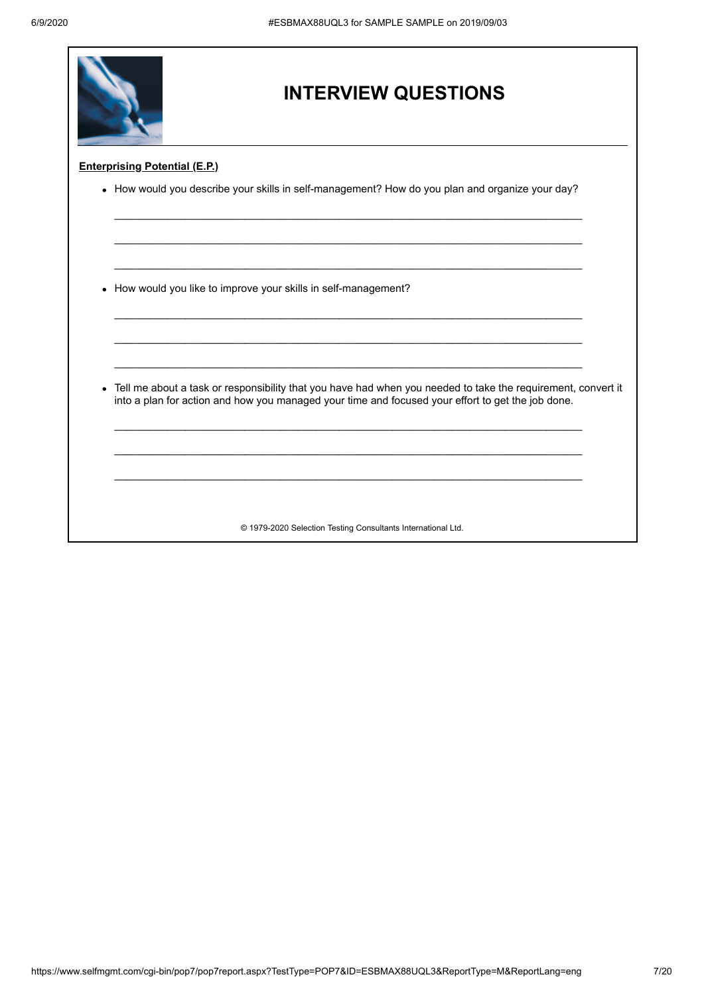|           | <b>INTERVIEW QUESTIONS</b>                                                                                                                                                                                        |  |  |  |
|-----------|-------------------------------------------------------------------------------------------------------------------------------------------------------------------------------------------------------------------|--|--|--|
|           | <b>Enterprising Potential (E.P.)</b>                                                                                                                                                                              |  |  |  |
|           | • How would you describe your skills in self-management? How do you plan and organize your day?                                                                                                                   |  |  |  |
|           |                                                                                                                                                                                                                   |  |  |  |
|           |                                                                                                                                                                                                                   |  |  |  |
| $\bullet$ | How would you like to improve your skills in self-management?                                                                                                                                                     |  |  |  |
|           |                                                                                                                                                                                                                   |  |  |  |
|           |                                                                                                                                                                                                                   |  |  |  |
| $\bullet$ | Tell me about a task or responsibility that you have had when you needed to take the requirement, convert it<br>into a plan for action and how you managed your time and focused your effort to get the job done. |  |  |  |
|           |                                                                                                                                                                                                                   |  |  |  |
|           |                                                                                                                                                                                                                   |  |  |  |
|           |                                                                                                                                                                                                                   |  |  |  |
|           | © 1979-2020 Selection Testing Consultants International Ltd.                                                                                                                                                      |  |  |  |

٦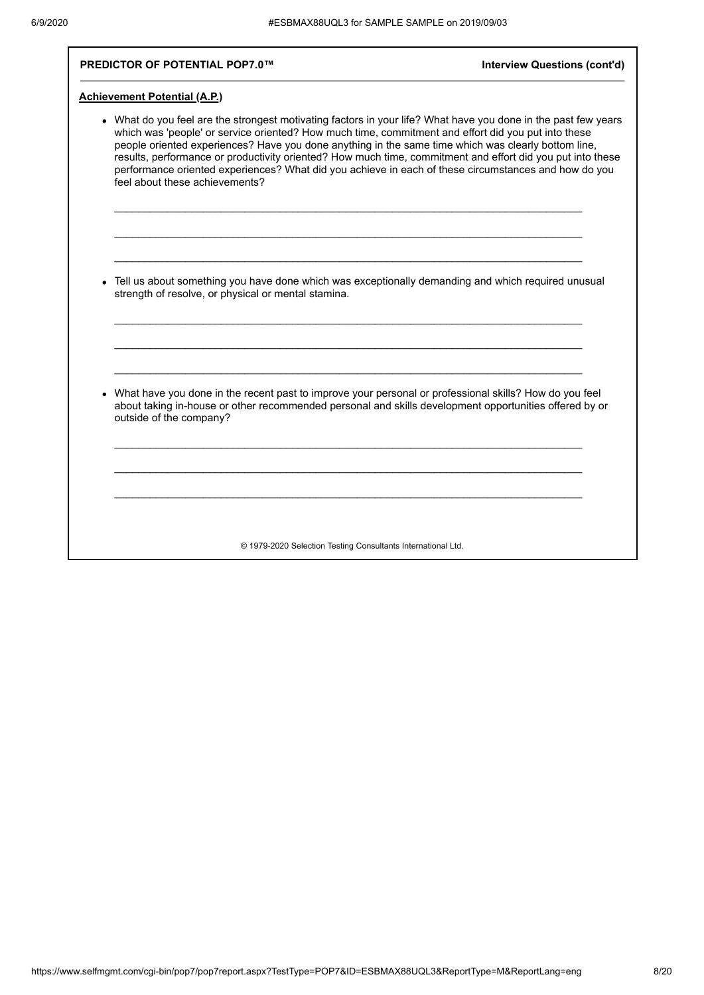### **PREDICTOR OF POTENTIAL POP7.0™ Interview Questions (cont'd)**

### **Achievement Potential (A.P.)**

| • What do you feel are the strongest motivating factors in your life? What have you done in the past few years<br>which was 'people' or service oriented? How much time, commitment and effort did you put into these<br>people oriented experiences? Have you done anything in the same time which was clearly bottom line,<br>results, performance or productivity oriented? How much time, commitment and effort did you put into these<br>performance oriented experiences? What did you achieve in each of these circumstances and how do you<br>feel about these achievements? |
|--------------------------------------------------------------------------------------------------------------------------------------------------------------------------------------------------------------------------------------------------------------------------------------------------------------------------------------------------------------------------------------------------------------------------------------------------------------------------------------------------------------------------------------------------------------------------------------|
| • Tell us about something you have done which was exceptionally demanding and which required unusual<br>strength of resolve, or physical or mental stamina.                                                                                                                                                                                                                                                                                                                                                                                                                          |
| What have you done in the recent past to improve your personal or professional skills? How do you feel<br>about taking in-house or other recommended personal and skills development opportunities offered by or<br>outside of the company?                                                                                                                                                                                                                                                                                                                                          |
|                                                                                                                                                                                                                                                                                                                                                                                                                                                                                                                                                                                      |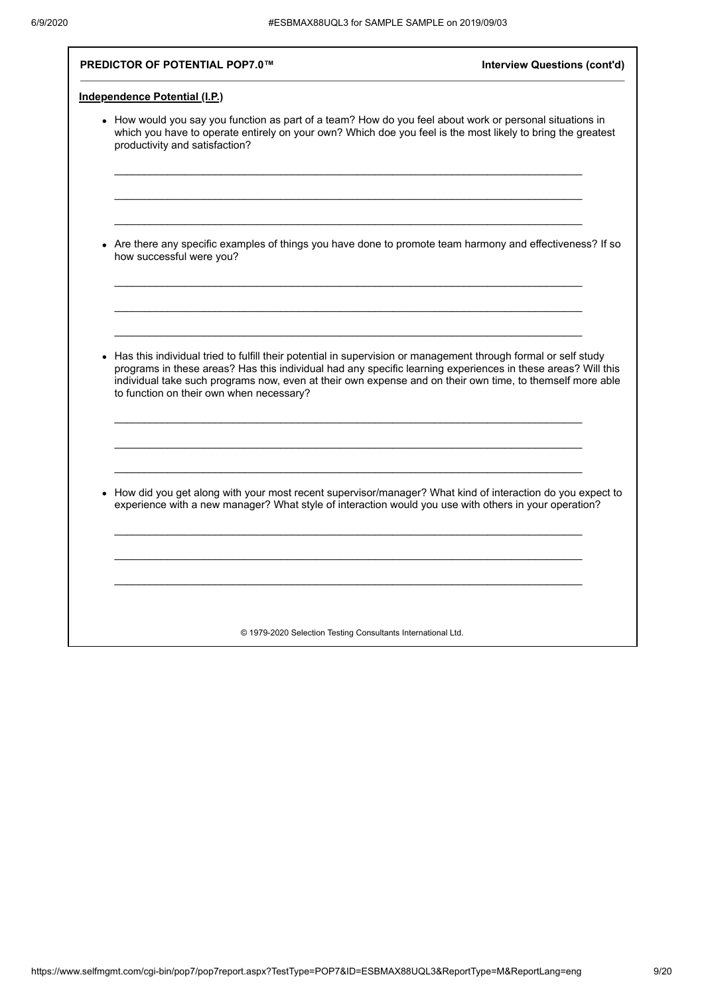**PREDICTOR OF POTENTIAL POP7.0™ Interview Questions (cont'd)** 

| How would you say you function as part of a team? How do you feel about work or personal situations in<br>which you have to operate entirely on your own? Which doe you feel is the most likely to bring the greatest<br>productivity and satisfaction? |
|---------------------------------------------------------------------------------------------------------------------------------------------------------------------------------------------------------------------------------------------------------|
|                                                                                                                                                                                                                                                         |
|                                                                                                                                                                                                                                                         |
| Are there any specific examples of things you have done to promote team harmony and effectiveness? If so<br>how successful were you?                                                                                                                    |
|                                                                                                                                                                                                                                                         |
|                                                                                                                                                                                                                                                         |
| Has this individual tried to fulfill their potential in supervision or management through formal or self study<br>programs in these areas? Has this individual had any specific learning experiences in these areas? Will this                          |
| individual take such programs now, even at their own expense and on their own time, to themself more able<br>to function on their own when necessary?                                                                                                   |
|                                                                                                                                                                                                                                                         |
|                                                                                                                                                                                                                                                         |
| How did you get along with your most recent supervisor/manager? What kind of interaction do you expect to<br>experience with a new manager? What style of interaction would you use with others in your operation?                                      |
|                                                                                                                                                                                                                                                         |
|                                                                                                                                                                                                                                                         |
|                                                                                                                                                                                                                                                         |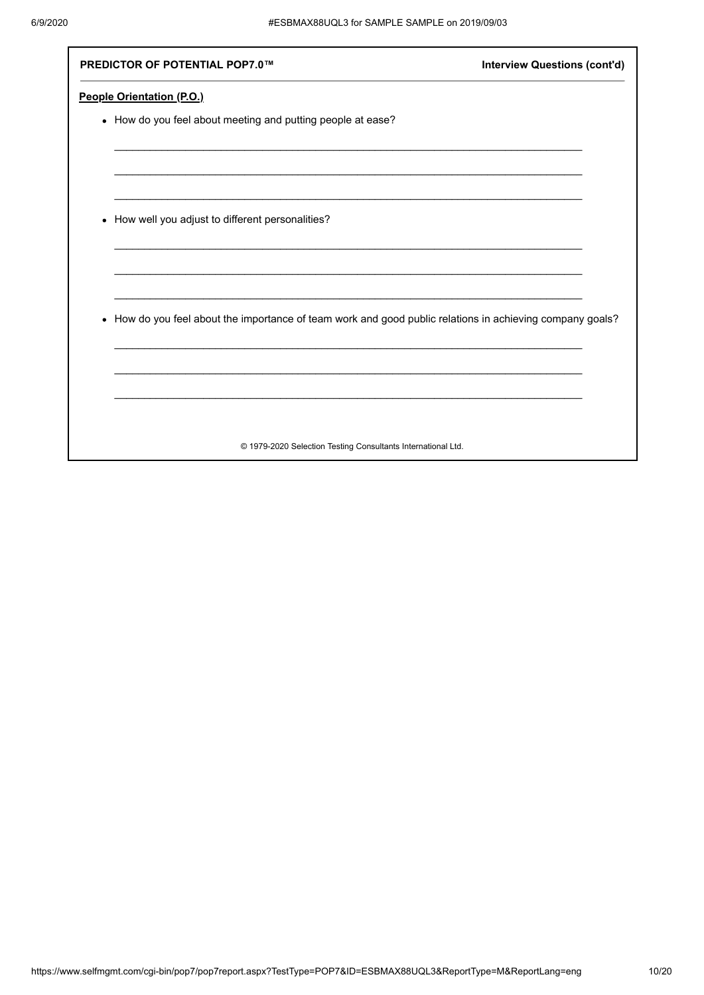| <b>Interview Questions (cont'd)</b><br><b>PREDICTOR OF POTENTIAL POP7.0™</b>                                         |  |
|----------------------------------------------------------------------------------------------------------------------|--|
| People Orientation (P.O.)                                                                                            |  |
| • How do you feel about meeting and putting people at ease?                                                          |  |
|                                                                                                                      |  |
|                                                                                                                      |  |
| How well you adjust to different personalities?<br>٠                                                                 |  |
|                                                                                                                      |  |
| How do you feel about the importance of team work and good public relations in achieving company goals?<br>$\bullet$ |  |
|                                                                                                                      |  |
|                                                                                                                      |  |
| © 1979-2020 Selection Testing Consultants International Ltd.                                                         |  |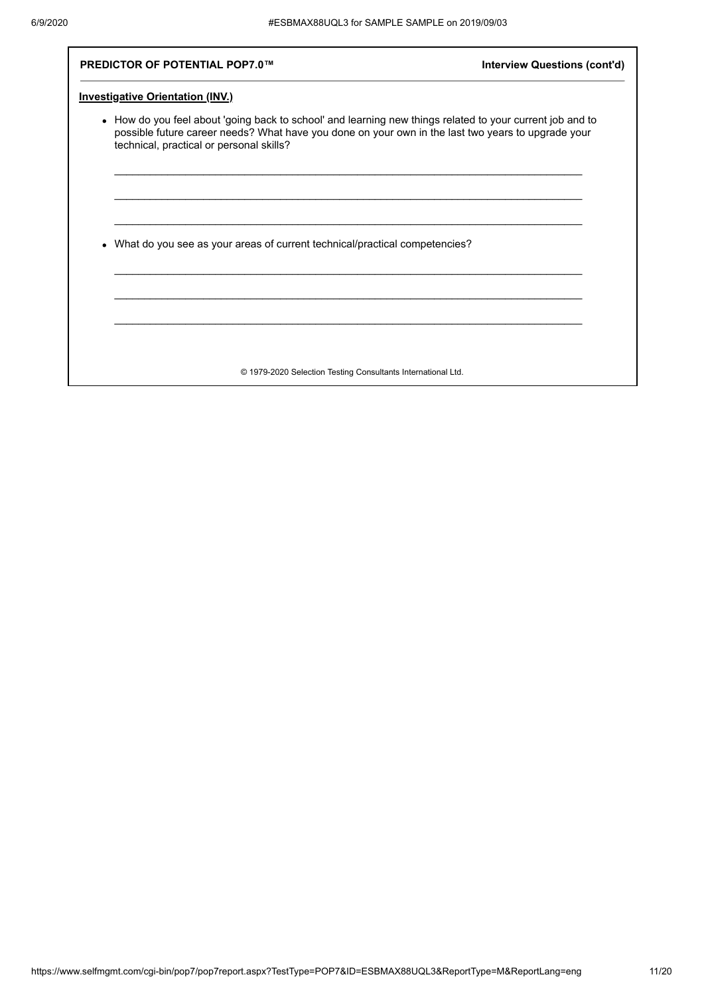| <b>PREDICTOR OF POTENTIAL POP7.0™</b>                                                                                                                                                                                                                       | <b>Interview Questions (cont'd)</b> |
|-------------------------------------------------------------------------------------------------------------------------------------------------------------------------------------------------------------------------------------------------------------|-------------------------------------|
| <b>Investigative Orientation (INV.)</b>                                                                                                                                                                                                                     |                                     |
| • How do you feel about 'going back to school' and learning new things related to your current job and to<br>possible future career needs? What have you done on your own in the last two years to upgrade your<br>technical, practical or personal skills? |                                     |
|                                                                                                                                                                                                                                                             |                                     |
| What do you see as your areas of current technical/practical competencies?                                                                                                                                                                                  |                                     |
|                                                                                                                                                                                                                                                             |                                     |
|                                                                                                                                                                                                                                                             |                                     |
| © 1979-2020 Selection Testing Consultants International Ltd.                                                                                                                                                                                                |                                     |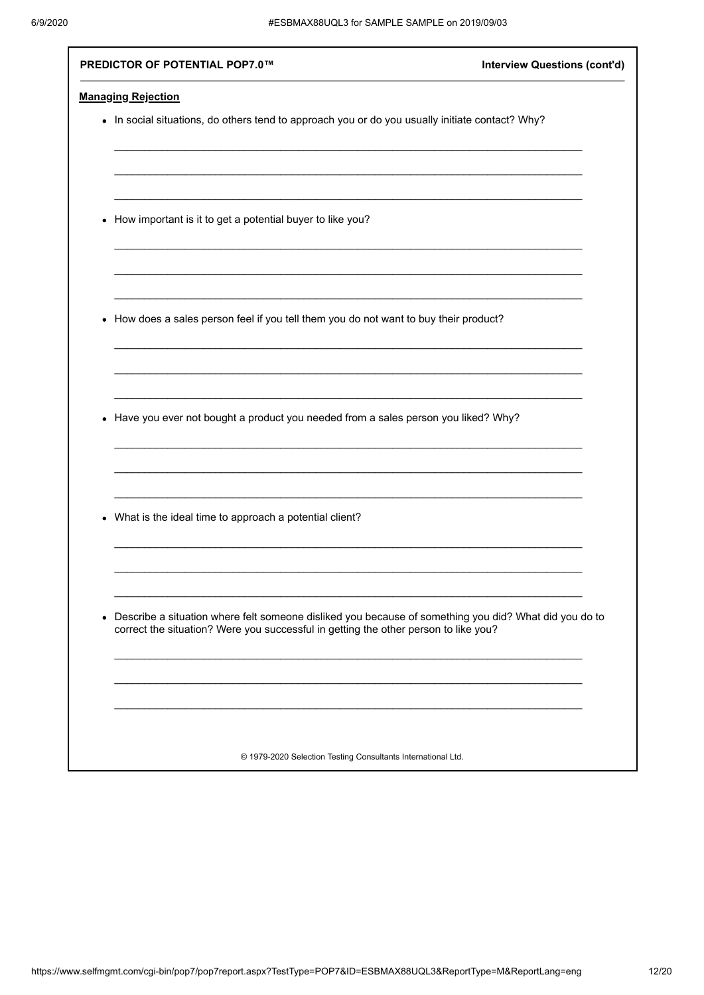| PREDICTOR OF POTENTIAL POP7.0™                                                                                                                                                                            | <b>Interview Questions (cont'd)</b> |
|-----------------------------------------------------------------------------------------------------------------------------------------------------------------------------------------------------------|-------------------------------------|
| <b>Managing Rejection</b>                                                                                                                                                                                 |                                     |
| • In social situations, do others tend to approach you or do you usually initiate contact? Why?                                                                                                           |                                     |
|                                                                                                                                                                                                           |                                     |
|                                                                                                                                                                                                           |                                     |
| How important is it to get a potential buyer to like you?<br>$\bullet$                                                                                                                                    |                                     |
|                                                                                                                                                                                                           |                                     |
|                                                                                                                                                                                                           |                                     |
| How does a sales person feel if you tell them you do not want to buy their product?<br>$\bullet$                                                                                                          |                                     |
|                                                                                                                                                                                                           |                                     |
| Have you ever not bought a product you needed from a sales person you liked? Why?<br>$\bullet$                                                                                                            |                                     |
|                                                                                                                                                                                                           |                                     |
| What is the ideal time to approach a potential client?<br>$\bullet$                                                                                                                                       |                                     |
|                                                                                                                                                                                                           |                                     |
| Describe a situation where felt someone disliked you because of something you did? What did you do to<br>$\bullet$<br>correct the situation? Were you successful in getting the other person to like you? |                                     |
|                                                                                                                                                                                                           |                                     |
|                                                                                                                                                                                                           |                                     |
| © 1979-2020 Selection Testing Consultants International Ltd.                                                                                                                                              |                                     |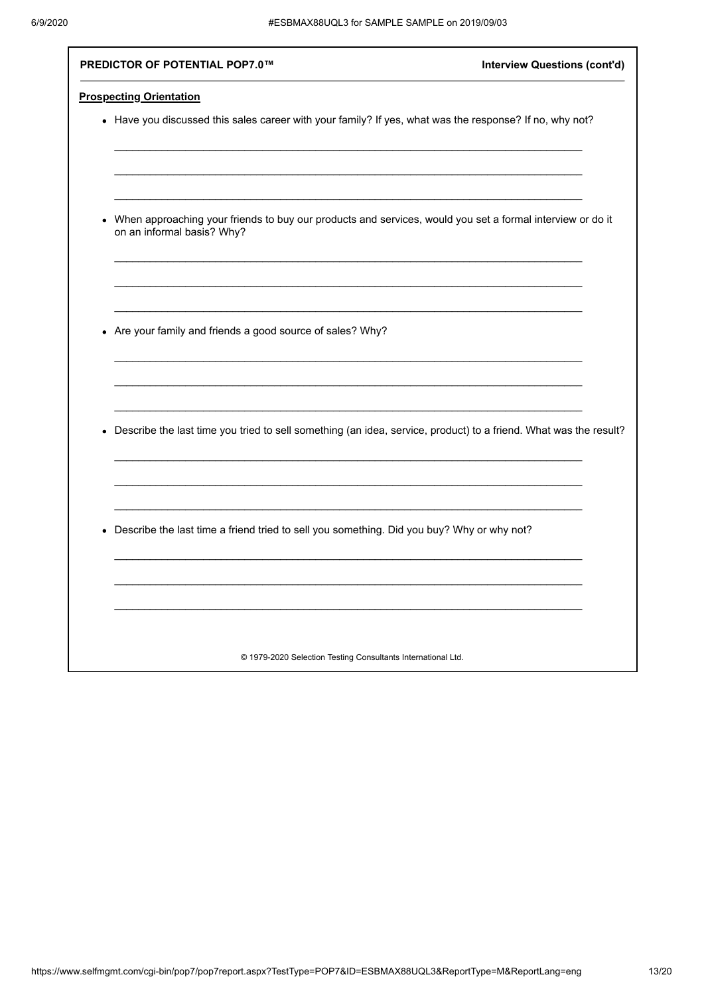| PREDICTOR OF POTENTIAL POP7.0™                                                                                                                       | <b>Interview Questions (cont'd)</b> |
|------------------------------------------------------------------------------------------------------------------------------------------------------|-------------------------------------|
| <b>Prospecting Orientation</b>                                                                                                                       |                                     |
| • Have you discussed this sales career with your family? If yes, what was the response? If no, why not?                                              |                                     |
|                                                                                                                                                      |                                     |
|                                                                                                                                                      |                                     |
| When approaching your friends to buy our products and services, would you set a formal interview or do it<br>$\bullet$<br>on an informal basis? Why? |                                     |
|                                                                                                                                                      |                                     |
|                                                                                                                                                      |                                     |
| • Are your family and friends a good source of sales? Why?                                                                                           |                                     |
|                                                                                                                                                      |                                     |
|                                                                                                                                                      |                                     |
| • Describe the last time you tried to sell something (an idea, service, product) to a friend. What was the result?                                   |                                     |
|                                                                                                                                                      |                                     |
|                                                                                                                                                      |                                     |
| • Describe the last time a friend tried to sell you something. Did you buy? Why or why not?                                                          |                                     |
|                                                                                                                                                      |                                     |
|                                                                                                                                                      |                                     |
|                                                                                                                                                      |                                     |
| © 1979-2020 Selection Testing Consultants International Ltd.                                                                                         |                                     |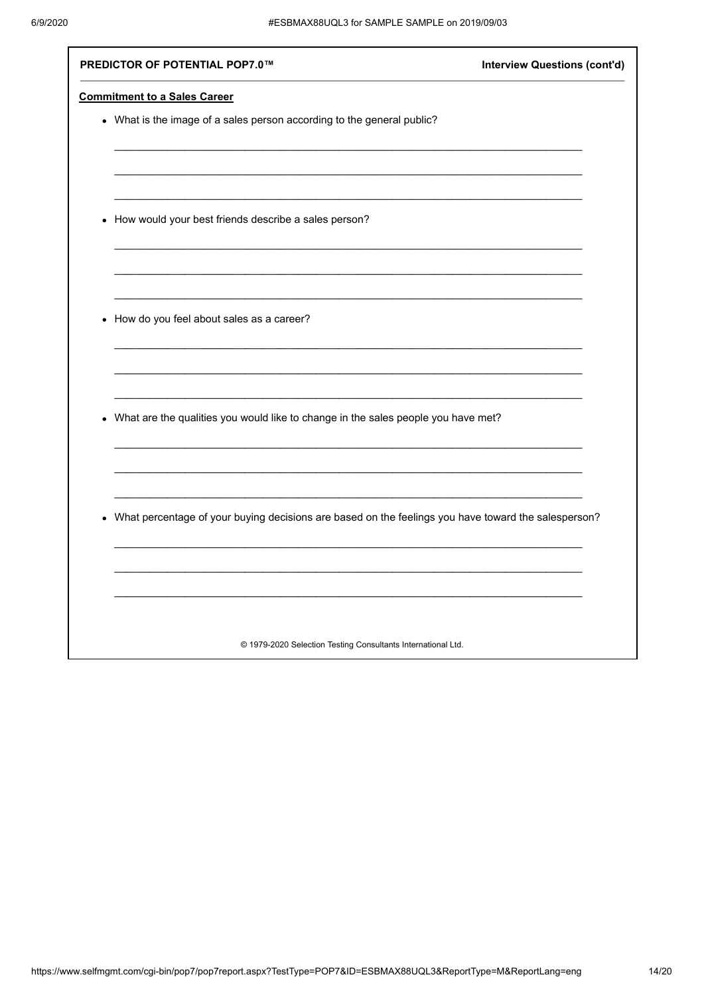| • What is the image of a sales person according to the general public?<br>How would your best friends describe a sales person?<br>$\bullet$<br>How do you feel about sales as a career?<br>$\bullet$<br>What are the qualities you would like to change in the sales people you have met?<br>$\bullet$<br>What percentage of your buying decisions are based on the feelings you have toward the salesperson?<br>$\bullet$ | PREDICTOR OF POTENTIAL POP7.0™                               | <b>Interview Questions (cont'd)</b> |
|----------------------------------------------------------------------------------------------------------------------------------------------------------------------------------------------------------------------------------------------------------------------------------------------------------------------------------------------------------------------------------------------------------------------------|--------------------------------------------------------------|-------------------------------------|
|                                                                                                                                                                                                                                                                                                                                                                                                                            | <b>Commitment to a Sales Career</b>                          |                                     |
|                                                                                                                                                                                                                                                                                                                                                                                                                            |                                                              |                                     |
|                                                                                                                                                                                                                                                                                                                                                                                                                            |                                                              |                                     |
|                                                                                                                                                                                                                                                                                                                                                                                                                            |                                                              |                                     |
|                                                                                                                                                                                                                                                                                                                                                                                                                            |                                                              |                                     |
|                                                                                                                                                                                                                                                                                                                                                                                                                            |                                                              |                                     |
|                                                                                                                                                                                                                                                                                                                                                                                                                            |                                                              |                                     |
|                                                                                                                                                                                                                                                                                                                                                                                                                            |                                                              |                                     |
|                                                                                                                                                                                                                                                                                                                                                                                                                            |                                                              |                                     |
|                                                                                                                                                                                                                                                                                                                                                                                                                            |                                                              |                                     |
|                                                                                                                                                                                                                                                                                                                                                                                                                            |                                                              |                                     |
|                                                                                                                                                                                                                                                                                                                                                                                                                            |                                                              |                                     |
|                                                                                                                                                                                                                                                                                                                                                                                                                            |                                                              |                                     |
|                                                                                                                                                                                                                                                                                                                                                                                                                            |                                                              |                                     |
|                                                                                                                                                                                                                                                                                                                                                                                                                            |                                                              |                                     |
|                                                                                                                                                                                                                                                                                                                                                                                                                            |                                                              |                                     |
|                                                                                                                                                                                                                                                                                                                                                                                                                            |                                                              |                                     |
|                                                                                                                                                                                                                                                                                                                                                                                                                            |                                                              |                                     |
|                                                                                                                                                                                                                                                                                                                                                                                                                            |                                                              |                                     |
|                                                                                                                                                                                                                                                                                                                                                                                                                            |                                                              |                                     |
|                                                                                                                                                                                                                                                                                                                                                                                                                            |                                                              |                                     |
|                                                                                                                                                                                                                                                                                                                                                                                                                            |                                                              |                                     |
|                                                                                                                                                                                                                                                                                                                                                                                                                            |                                                              |                                     |
|                                                                                                                                                                                                                                                                                                                                                                                                                            |                                                              |                                     |
|                                                                                                                                                                                                                                                                                                                                                                                                                            |                                                              |                                     |
|                                                                                                                                                                                                                                                                                                                                                                                                                            | © 1979-2020 Selection Testing Consultants International Ltd. |                                     |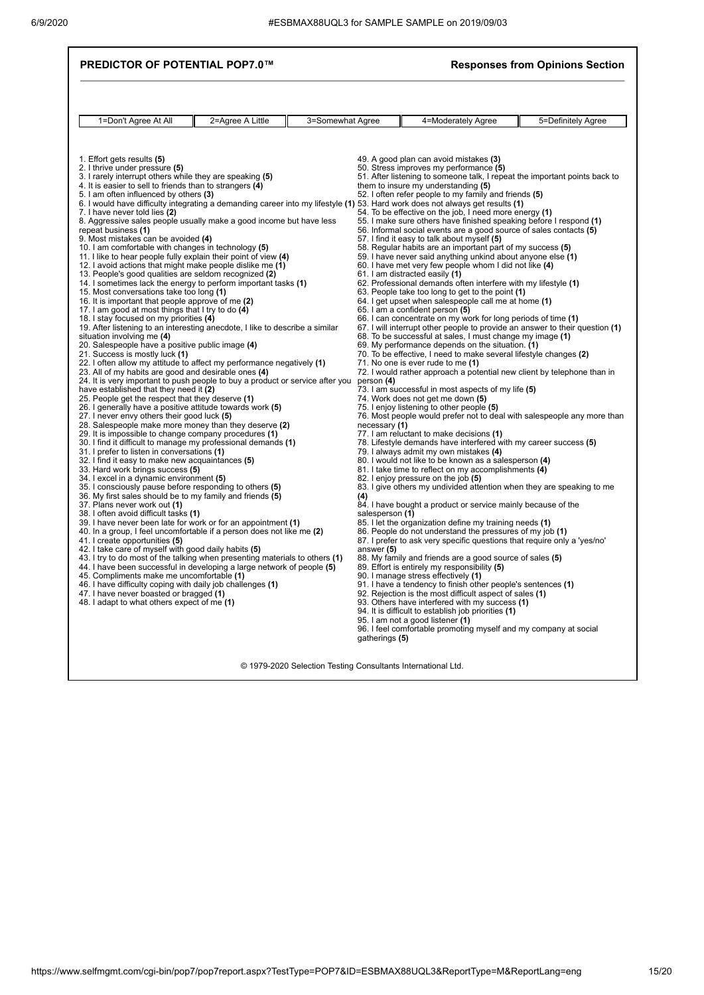|                                                                                                                                                                                                                                                                                                                                                                                                                                                                                                                                                                                                                                                                                                                                                                                                                                                                                                                                                                                                                                                                                                                                                                                                                                                                                                                                                                                                                                                                                                                                                                                                                                                                                                                                                                                                                                                                                                                                                                                                                                                                                                                                                                                                                                                                                                                                                                                                                                                                                                                                                                                                                                                                                                                                  |                  |                  |                                                                                       |                                                                                                                                                                                                                                                                                                                                                                                                                                                                                                                                                                                                                                                                                                                                                                                                                                                                                                                                                                                                                                                                                                                                                                                                                                                                                                                                                                                                                                                                                                                                                                                                                                                                                                                                                                                                                                                                                                                                                                                                                                                                                                                                                                                                                                                                                                                                                                                                                                                                                                                                                                                                                                                                                                                                                                                                                                                                                                                                       | <b>Responses from Opinions Section</b> |
|----------------------------------------------------------------------------------------------------------------------------------------------------------------------------------------------------------------------------------------------------------------------------------------------------------------------------------------------------------------------------------------------------------------------------------------------------------------------------------------------------------------------------------------------------------------------------------------------------------------------------------------------------------------------------------------------------------------------------------------------------------------------------------------------------------------------------------------------------------------------------------------------------------------------------------------------------------------------------------------------------------------------------------------------------------------------------------------------------------------------------------------------------------------------------------------------------------------------------------------------------------------------------------------------------------------------------------------------------------------------------------------------------------------------------------------------------------------------------------------------------------------------------------------------------------------------------------------------------------------------------------------------------------------------------------------------------------------------------------------------------------------------------------------------------------------------------------------------------------------------------------------------------------------------------------------------------------------------------------------------------------------------------------------------------------------------------------------------------------------------------------------------------------------------------------------------------------------------------------------------------------------------------------------------------------------------------------------------------------------------------------------------------------------------------------------------------------------------------------------------------------------------------------------------------------------------------------------------------------------------------------------------------------------------------------------------------------------------------------|------------------|------------------|---------------------------------------------------------------------------------------|---------------------------------------------------------------------------------------------------------------------------------------------------------------------------------------------------------------------------------------------------------------------------------------------------------------------------------------------------------------------------------------------------------------------------------------------------------------------------------------------------------------------------------------------------------------------------------------------------------------------------------------------------------------------------------------------------------------------------------------------------------------------------------------------------------------------------------------------------------------------------------------------------------------------------------------------------------------------------------------------------------------------------------------------------------------------------------------------------------------------------------------------------------------------------------------------------------------------------------------------------------------------------------------------------------------------------------------------------------------------------------------------------------------------------------------------------------------------------------------------------------------------------------------------------------------------------------------------------------------------------------------------------------------------------------------------------------------------------------------------------------------------------------------------------------------------------------------------------------------------------------------------------------------------------------------------------------------------------------------------------------------------------------------------------------------------------------------------------------------------------------------------------------------------------------------------------------------------------------------------------------------------------------------------------------------------------------------------------------------------------------------------------------------------------------------------------------------------------------------------------------------------------------------------------------------------------------------------------------------------------------------------------------------------------------------------------------------------------------------------------------------------------------------------------------------------------------------------------------------------------------------------------------------------------------------|----------------------------------------|
| 1=Don't Agree At All                                                                                                                                                                                                                                                                                                                                                                                                                                                                                                                                                                                                                                                                                                                                                                                                                                                                                                                                                                                                                                                                                                                                                                                                                                                                                                                                                                                                                                                                                                                                                                                                                                                                                                                                                                                                                                                                                                                                                                                                                                                                                                                                                                                                                                                                                                                                                                                                                                                                                                                                                                                                                                                                                                             | 2=Agree A Little | 3=Somewhat Agree |                                                                                       | 4=Moderately Agree                                                                                                                                                                                                                                                                                                                                                                                                                                                                                                                                                                                                                                                                                                                                                                                                                                                                                                                                                                                                                                                                                                                                                                                                                                                                                                                                                                                                                                                                                                                                                                                                                                                                                                                                                                                                                                                                                                                                                                                                                                                                                                                                                                                                                                                                                                                                                                                                                                                                                                                                                                                                                                                                                                                                                                                                                                                                                                                    | 5=Definitely Agree                     |
| 1. Effort gets results (5)<br>2. I thrive under pressure (5)<br>3. I rarely interrupt others while they are speaking (5)<br>4. It is easier to sell to friends than to strangers (4)<br>5. I am often influenced by others (3)<br>7. I have never told lies (2)<br>8. Aggressive sales people usually make a good income but have less<br>repeat business (1)<br>9. Most mistakes can be avoided (4)<br>10. I am comfortable with changes in technology (5)<br>11. I like to hear people fully explain their point of view (4)<br>12. I avoid actions that might make people dislike me (1)<br>13. People's good qualities are seldom recognized (2)<br>14. I sometimes lack the energy to perform important tasks (1)<br>15. Most conversations take too long (1)<br>16. It is important that people approve of me (2)<br>17. I am good at most things that I try to do (4)<br>18. I stay focused on my priorities (4)<br>19. After listening to an interesting anecdote, I like to describe a similar<br>situation involving me (4)<br>20. Salespeople have a positive public image (4)<br>21. Success is mostly luck (1)<br>22. I often allow my attitude to affect my performance negatively (1)<br>23. All of my habits are good and desirable ones (4)<br>24. It is very important to push people to buy a product or service after you<br>have established that they need it (2)<br>25. People get the respect that they deserve (1)<br>26. I generally have a positive attitude towards work (5)<br>27. I never envy others their good luck (5)<br>28. Salespeople make more money than they deserve (2)<br>29. It is impossible to change company procedures (1)<br>30. I find it difficult to manage my professional demands (1)<br>31. I prefer to listen in conversations (1)<br>32. I find it easy to make new acquaintances (5)<br>33. Hard work brings success (5)<br>34. I excel in a dynamic environment (5)<br>35. I consciously pause before responding to others (5)<br>36. My first sales should be to my family and friends (5)<br>37. Plans never work out (1)<br>38. I often avoid difficult tasks (1)<br>39. I have never been late for work or for an appointment (1)<br>40. In a group, I feel uncomfortable if a person does not like me (2)<br>41. I create opportunities (5)<br>42. I take care of myself with good daily habits (5)<br>43. I try to do most of the talking when presenting materials to others (1)<br>44. I have been successful in developing a large network of people (5)<br>45. Compliments make me uncomfortable (1)<br>46. I have difficulty coping with daily job challenges (1)<br>47. I have never boasted or bragged (1)<br>48. I adapt to what others expect of me (1) |                  |                  | person (4)<br>necessary (1)<br>(4)<br>salesperson (1)<br>answer (5)<br>gatherings (5) | 49. A good plan can avoid mistakes (3)<br>50. Stress improves my performance (5)<br>51. After listening to someone talk, I repeat the important points back to<br>them to insure my understanding (5)<br>52. I often refer people to my family and friends (5)<br>6. I would have difficulty integrating a demanding career into my lifestyle (1) 53. Hard work does not always get results (1)<br>54. To be effective on the job, I need more energy (1)<br>55. I make sure others have finished speaking before I respond (1)<br>56. Informal social events are a good source of sales contacts (5)<br>57. I find it easy to talk about myself (5)<br>58. Regular habits are an important part of my success (5)<br>59. I have never said anything unkind about anyone else (1)<br>60. I have met very few people whom I did not like (4)<br>61. I am distracted easily (1)<br>62. Professional demands often interfere with my lifestyle (1)<br>63. People take too long to get to the point (1)<br>64. I get upset when salespeople call me at home (1)<br>65. I am a confident person (5)<br>66. I can concentrate on my work for long periods of time (1)<br>67. I will interrupt other people to provide an answer to their question (1)<br>68. To be successful at sales, I must change my image (1)<br>69. My performance depends on the situation. (1)<br>70. To be effective, I need to make several lifestyle changes (2)<br>71. No one is ever rude to me (1)<br>72. I would rather approach a potential new client by telephone than in<br>73. I am successful in most aspects of my life (5)<br>74. Work does not get me down (5)<br>75. I enjoy listening to other people (5)<br>76. Most people would prefer not to deal with salespeople any more than<br>77. I am reluctant to make decisions (1)<br>78. Lifestyle demands have interfered with my career success (5)<br>79. I always admit my own mistakes (4)<br>80. I would not like to be known as a salesperson (4)<br>81. I take time to reflect on my accomplishments (4)<br>82. I enjoy pressure on the job (5)<br>83. I give others my undivided attention when they are speaking to me<br>84. I have bought a product or service mainly because of the<br>85. I let the organization define my training needs (1)<br>86. People do not understand the pressures of my job (1)<br>87. I prefer to ask very specific questions that require only a 'yes/no'<br>88. My family and friends are a good source of sales (5)<br>89. Effort is entirely my responsibility (5)<br>90. I manage stress effectively (1)<br>91. I have a tendency to finish other people's sentences (1)<br>92. Rejection is the most difficult aspect of sales (1)<br>93. Others have interfered with my success (1)<br>94. It is difficult to establish job priorities (1)<br>95. I am not a good listener (1)<br>96. I feel comfortable promoting myself and my company at social |                                        |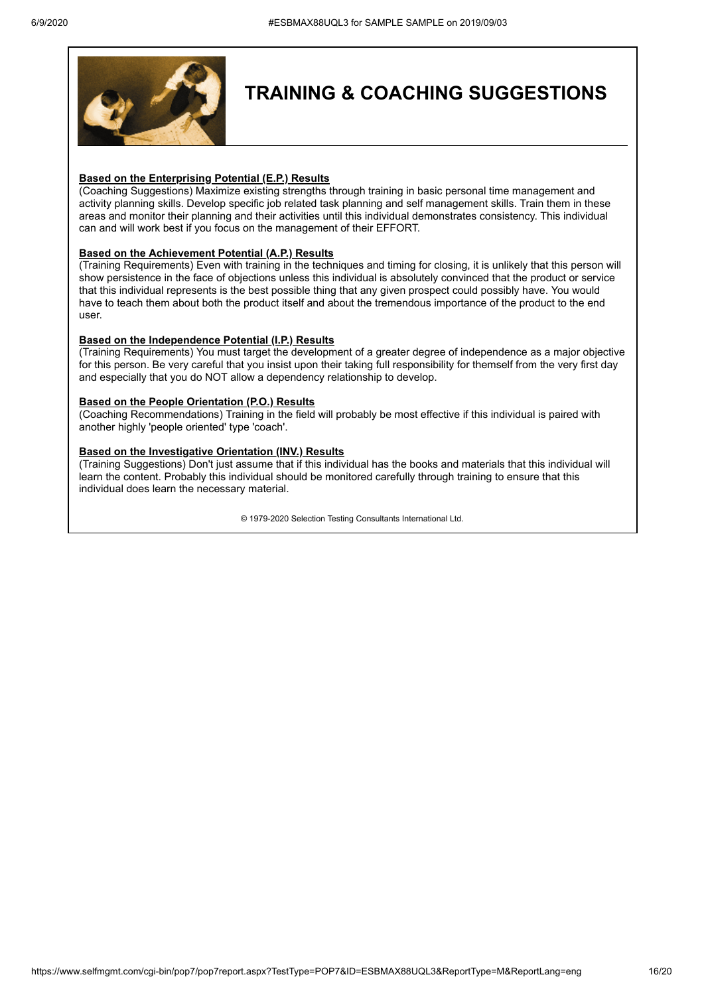

## **TRAINING & COACHING SUGGESTIONS**

#### **Based on the Enterprising Potential (E.P.) Results**

(Coaching Suggestions) Maximize existing strengths through training in basic personal time management and activity planning skills. Develop specific job related task planning and self management skills. Train them in these areas and monitor their planning and their activities until this individual demonstrates consistency. This individual can and will work best if you focus on the management of their EFFORT.

### **Based on the Achievement Potential (A.P.) Results**

(Training Requirements) Even with training in the techniques and timing for closing, it is unlikely that this person will show persistence in the face of objections unless this individual is absolutely convinced that the product or service that this individual represents is the best possible thing that any given prospect could possibly have. You would have to teach them about both the product itself and about the tremendous importance of the product to the end user.

#### **Based on the Independence Potential (I.P.) Results**

(Training Requirements) You must target the development of a greater degree of independence as a major objective for this person. Be very careful that you insist upon their taking full responsibility for themself from the very first day and especially that you do NOT allow a dependency relationship to develop.

#### **Based on the People Orientation (P.O.) Results**

(Coaching Recommendations) Training in the field will probably be most effective if this individual is paired with another highly 'people oriented' type 'coach'.

### **Based on the Investigative Orientation (INV.) Results**

(Training Suggestions) Don't just assume that if this individual has the books and materials that this individual will learn the content. Probably this individual should be monitored carefully through training to ensure that this individual does learn the necessary material.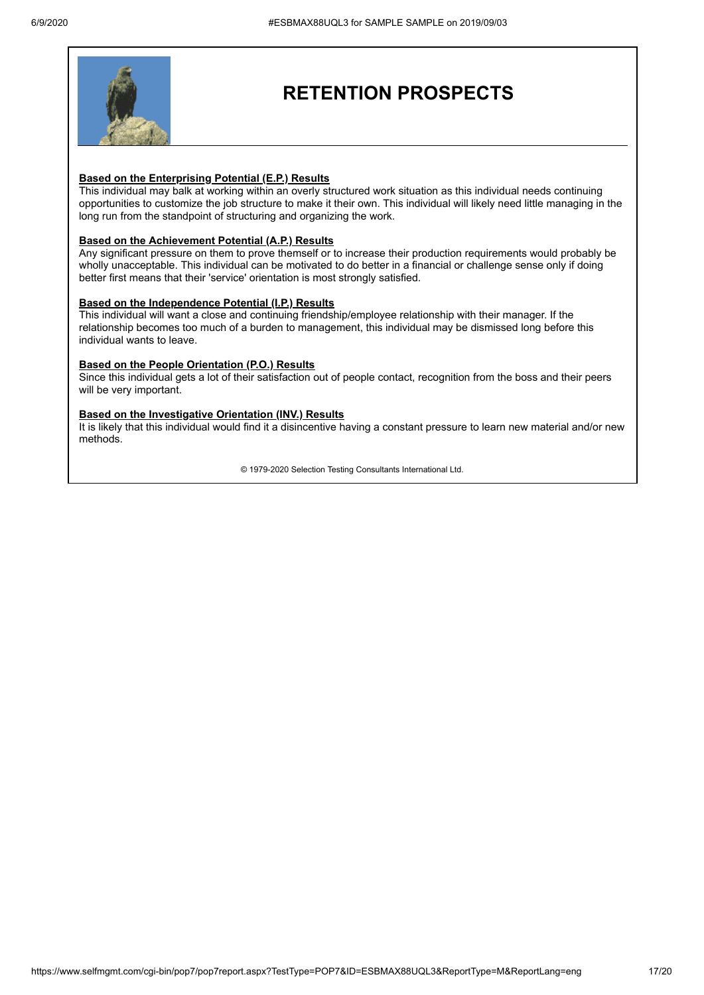

## **RETENTION PROSPECTS**

#### **Based on the Enterprising Potential (E.P.) Results**

This individual may balk at working within an overly structured work situation as this individual needs continuing opportunities to customize the job structure to make it their own. This individual will likely need little managing in the long run from the standpoint of structuring and organizing the work.

#### **Based on the Achievement Potential (A.P.) Results**

Any significant pressure on them to prove themself or to increase their production requirements would probably be wholly unacceptable. This individual can be motivated to do better in a financial or challenge sense only if doing better first means that their 'service' orientation is most strongly satisfied.

#### **Based on the Independence Potential (I.P.) Results**

This individual will want a close and continuing friendship/employee relationship with their manager. If the relationship becomes too much of a burden to management, this individual may be dismissed long before this individual wants to leave.

#### **Based on the People Orientation (P.O.) Results**

Since this individual gets a lot of their satisfaction out of people contact, recognition from the boss and their peers will be very important.

#### **Based on the Investigative Orientation (INV.) Results**

It is likely that this individual would find it a disincentive having a constant pressure to learn new material and/or new methods.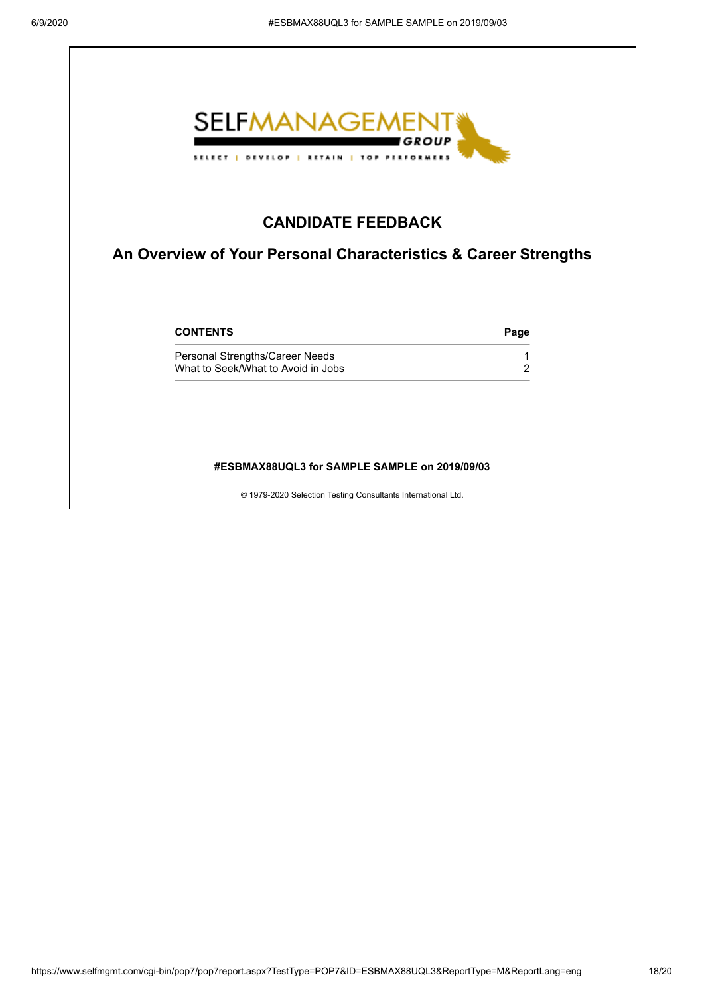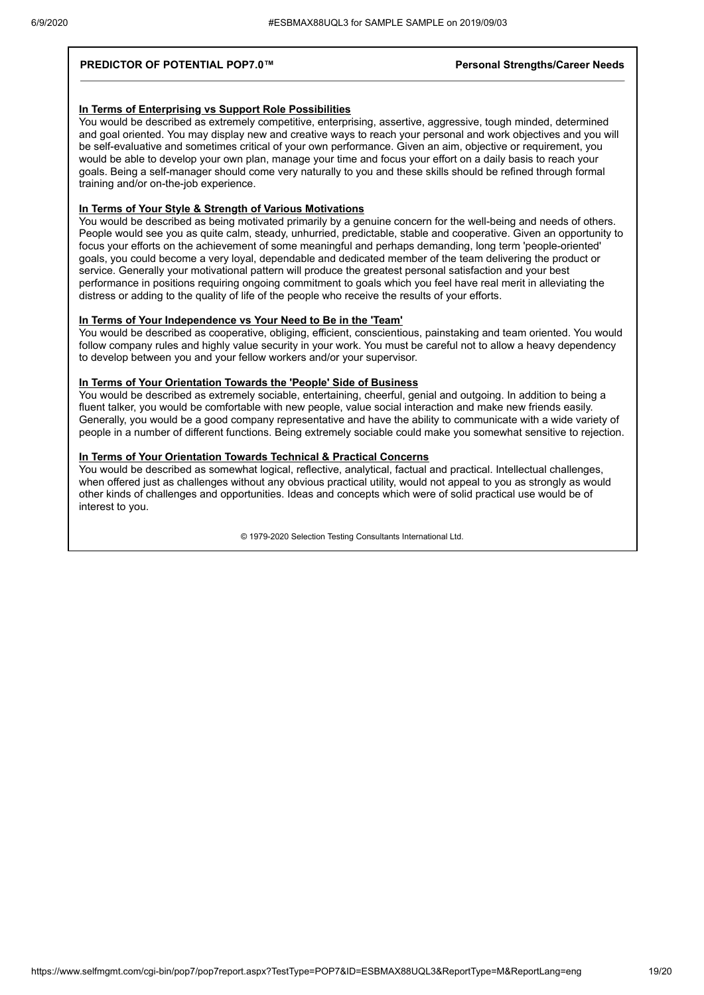#### **PREDICTOR OF POTENTIAL POP7.0™ Personal Strengths/Career Needs**

#### **In Terms of Enterprising vs Support Role Possibilities**

You would be described as extremely competitive, enterprising, assertive, aggressive, tough minded, determined and goal oriented. You may display new and creative ways to reach your personal and work objectives and you will be self-evaluative and sometimes critical of your own performance. Given an aim, objective or requirement, you would be able to develop your own plan, manage your time and focus your effort on a daily basis to reach your goals. Being a self-manager should come very naturally to you and these skills should be refined through formal training and/or on-the-job experience.

#### **In Terms of Your Style & Strength of Various Motivations**

You would be described as being motivated primarily by a genuine concern for the well-being and needs of others. People would see you as quite calm, steady, unhurried, predictable, stable and cooperative. Given an opportunity to focus your efforts on the achievement of some meaningful and perhaps demanding, long term 'people-oriented' goals, you could become a very loyal, dependable and dedicated member of the team delivering the product or service. Generally your motivational pattern will produce the greatest personal satisfaction and your best performance in positions requiring ongoing commitment to goals which you feel have real merit in alleviating the distress or adding to the quality of life of the people who receive the results of your efforts.

#### **In Terms of Your Independence vs Your Need to Be in the 'Team'**

You would be described as cooperative, obliging, efficient, conscientious, painstaking and team oriented. You would follow company rules and highly value security in your work. You must be careful not to allow a heavy dependency to develop between you and your fellow workers and/or your supervisor.

#### **In Terms of Your Orientation Towards the 'People' Side of Business**

You would be described as extremely sociable, entertaining, cheerful, genial and outgoing. In addition to being a fluent talker, you would be comfortable with new people, value social interaction and make new friends easily. Generally, you would be a good company representative and have the ability to communicate with a wide variety of people in a number of different functions. Being extremely sociable could make you somewhat sensitive to rejection.

#### **In Terms of Your Orientation Towards Technical & Practical Concerns**

You would be described as somewhat logical, reflective, analytical, factual and practical. Intellectual challenges, when offered just as challenges without any obvious practical utility, would not appeal to you as strongly as would other kinds of challenges and opportunities. Ideas and concepts which were of solid practical use would be of interest to you.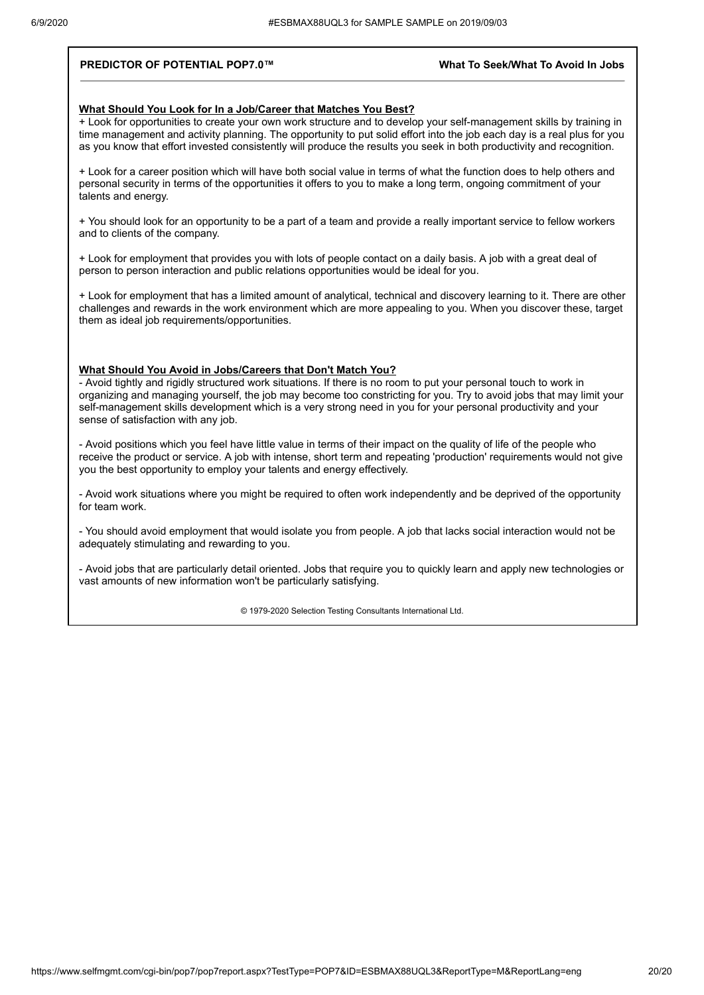#### **PREDICTOR OF POTENTIAL POP7.0™ What To Seek/What To Avoid In Jobs**

#### **What Should You Look for In a Job/Career that Matches You Best?**

+ Look for opportunities to create your own work structure and to develop your self-management skills by training in time management and activity planning. The opportunity to put solid effort into the job each day is a real plus for you as you know that effort invested consistently will produce the results you seek in both productivity and recognition.

+ Look for a career position which will have both social value in terms of what the function does to help others and personal security in terms of the opportunities it offers to you to make a long term, ongoing commitment of your talents and energy.

+ You should look for an opportunity to be a part of a team and provide a really important service to fellow workers and to clients of the company.

+ Look for employment that provides you with lots of people contact on a daily basis. A job with a great deal of person to person interaction and public relations opportunities would be ideal for you.

+ Look for employment that has a limited amount of analytical, technical and discovery learning to it. There are other challenges and rewards in the work environment which are more appealing to you. When you discover these, target them as ideal job requirements/opportunities.

#### **What Should You Avoid in Jobs/Careers that Don't Match You?**

- Avoid tightly and rigidly structured work situations. If there is no room to put your personal touch to work in organizing and managing yourself, the job may become too constricting for you. Try to avoid jobs that may limit your self-management skills development which is a very strong need in you for your personal productivity and your sense of satisfaction with any job.

- Avoid positions which you feel have little value in terms of their impact on the quality of life of the people who receive the product or service. A job with intense, short term and repeating 'production' requirements would not give you the best opportunity to employ your talents and energy effectively.

- Avoid work situations where you might be required to often work independently and be deprived of the opportunity for team work.

- You should avoid employment that would isolate you from people. A job that lacks social interaction would not be adequately stimulating and rewarding to you.

- Avoid jobs that are particularly detail oriented. Jobs that require you to quickly learn and apply new technologies or vast amounts of new information won't be particularly satisfying.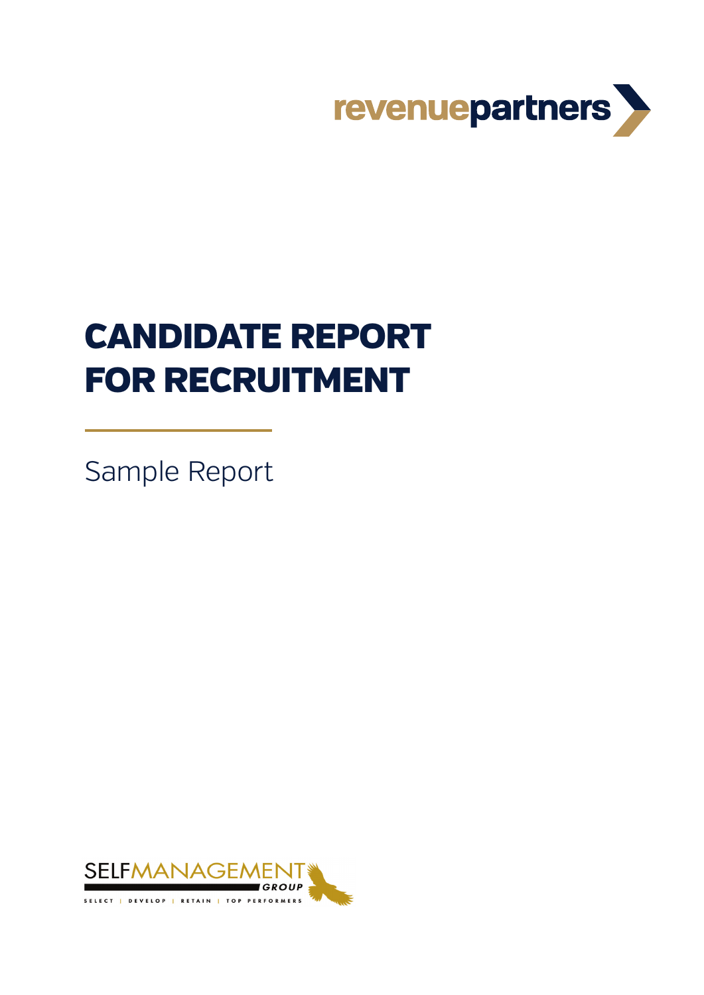

# CANDIDATE REPORT FOR RECRUITMENT

Sample Report

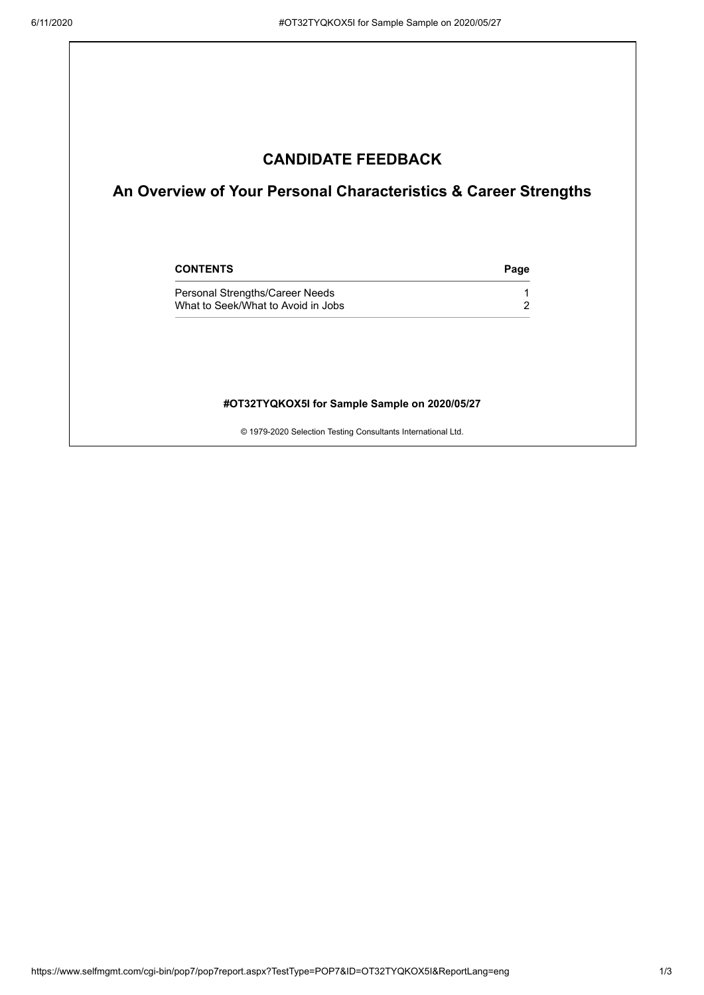### **CANDIDATE FEEDBACK**

### **An Overview of Your Personal Characteristics & Career Strengths**

| <b>CONTENTS</b>                                                       | Page |
|-----------------------------------------------------------------------|------|
| Personal Strengths/Career Needs<br>What to Seek/What to Avoid in Jobs |      |

#### **#OT32TYQKOX5I for Sample Sample on 2020/05/27**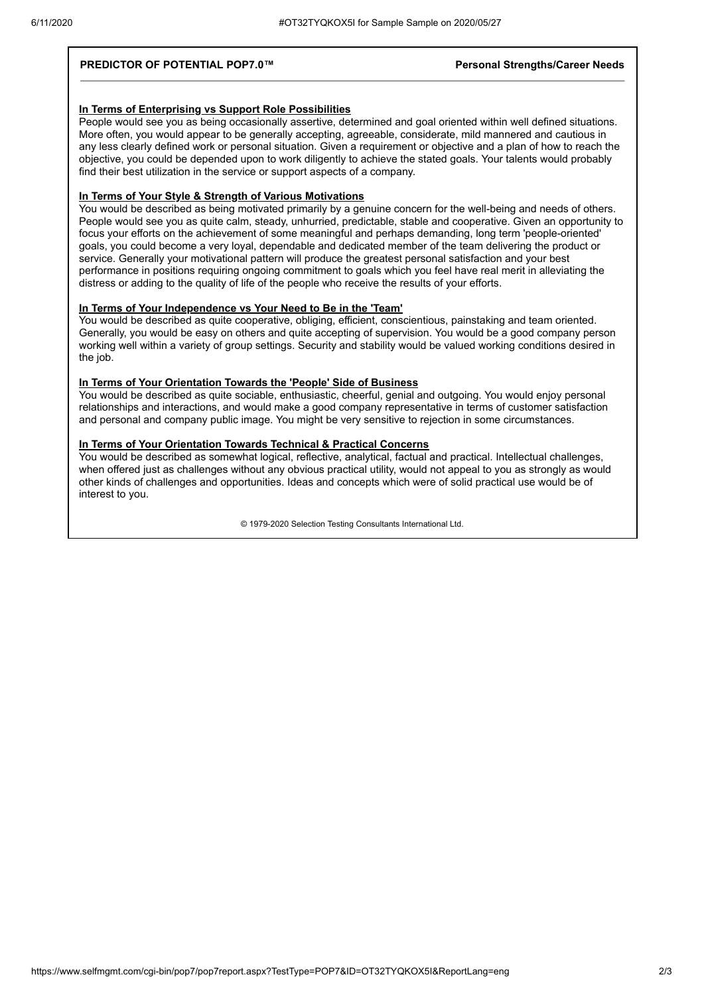#### **PREDICTOR OF POTENTIAL POP7.0™** *Personal Strengths/Career Needs*

#### **In Terms of Enterprising vs Support Role Possibilities**

People would see you as being occasionally assertive, determined and goal oriented within well defined situations. More often, you would appear to be generally accepting, agreeable, considerate, mild mannered and cautious in any less clearly defined work or personal situation. Given a requirement or objective and a plan of how to reach the objective, you could be depended upon to work diligently to achieve the stated goals. Your talents would probably find their best utilization in the service or support aspects of a company.

#### **In Terms of Your Style & Strength of Various Motivations**

You would be described as being motivated primarily by a genuine concern for the well-being and needs of others. People would see you as quite calm, steady, unhurried, predictable, stable and cooperative. Given an opportunity to focus your efforts on the achievement of some meaningful and perhaps demanding, long term 'people-oriented' goals, you could become a very loyal, dependable and dedicated member of the team delivering the product or service. Generally your motivational pattern will produce the greatest personal satisfaction and your best performance in positions requiring ongoing commitment to goals which you feel have real merit in alleviating the distress or adding to the quality of life of the people who receive the results of your efforts.

#### **In Terms of Your Independence vs Your Need to Be in the 'Team'**

You would be described as quite cooperative, obliging, efficient, conscientious, painstaking and team oriented. Generally, you would be easy on others and quite accepting of supervision. You would be a good company person working well within a variety of group settings. Security and stability would be valued working conditions desired in the job.

#### **In Terms of Your Orientation Towards the 'People' Side of Business**

You would be described as quite sociable, enthusiastic, cheerful, genial and outgoing. You would enjoy personal relationships and interactions, and would make a good company representative in terms of customer satisfaction and personal and company public image. You might be very sensitive to rejection in some circumstances.

#### **In Terms of Your Orientation Towards Technical & Practical Concerns**

You would be described as somewhat logical, reflective, analytical, factual and practical. Intellectual challenges, when offered just as challenges without any obvious practical utility, would not appeal to you as strongly as would other kinds of challenges and opportunities. Ideas and concepts which were of solid practical use would be of interest to you.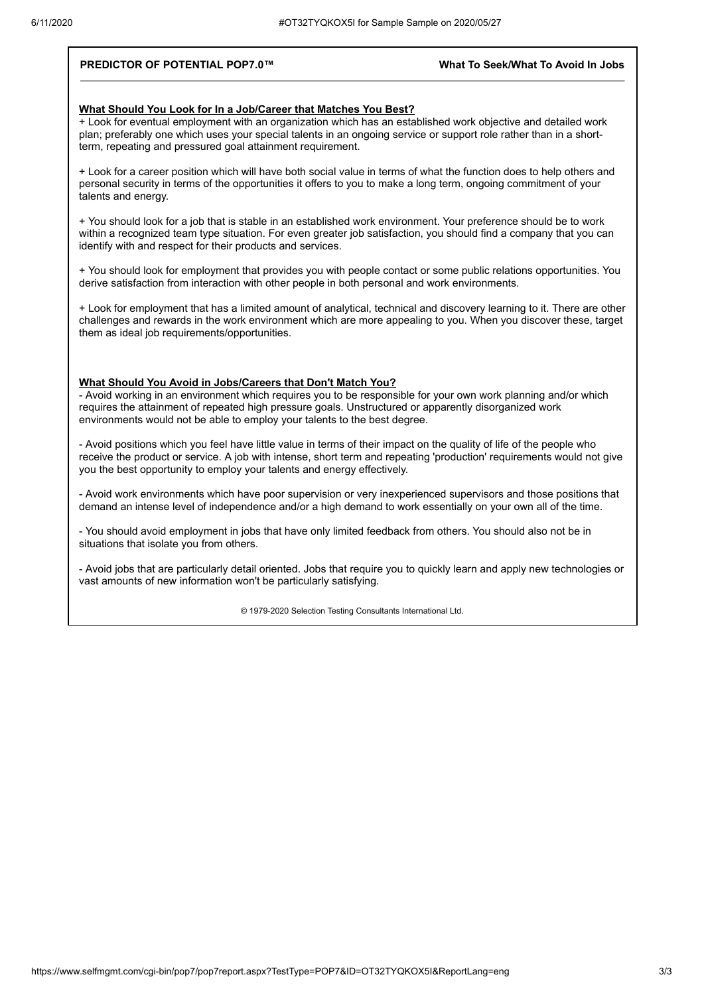#### **PREDICTOR OF POTENTIAL POP7.0™ What To Seek/What To Avoid In Jobs**

#### **What Should You Look for In a Job/Career that Matches You Best?**

+ Look for eventual employment with an organization which has an established work objective and detailed work plan; preferably one which uses your special talents in an ongoing service or support role rather than in a shortterm, repeating and pressured goal attainment requirement.

+ Look for a career position which will have both social value in terms of what the function does to help others and personal security in terms of the opportunities it offers to you to make a long term, ongoing commitment of your talents and energy.

+ You should look for a job that is stable in an established work environment. Your preference should be to work within a recognized team type situation. For even greater job satisfaction, you should find a company that you can identify with and respect for their products and services.

+ You should look for employment that provides you with people contact or some public relations opportunities. You derive satisfaction from interaction with other people in both personal and work environments.

+ Look for employment that has a limited amount of analytical, technical and discovery learning to it. There are other challenges and rewards in the work environment which are more appealing to you. When you discover these, target them as ideal job requirements/opportunities.

#### **What Should You Avoid in Jobs/Careers that Don't Match You?**

- Avoid working in an environment which requires you to be responsible for your own work planning and/or which requires the attainment of repeated high pressure goals. Unstructured or apparently disorganized work environments would not be able to employ your talents to the best degree.

- Avoid positions which you feel have little value in terms of their impact on the quality of life of the people who receive the product or service. A job with intense, short term and repeating 'production' requirements would not give you the best opportunity to employ your talents and energy effectively.

- Avoid work environments which have poor supervision or very inexperienced supervisors and those positions that demand an intense level of independence and/or a high demand to work essentially on your own all of the time.

- You should avoid employment in jobs that have only limited feedback from others. You should also not be in situations that isolate you from others.

- Avoid jobs that are particularly detail oriented. Jobs that require you to quickly learn and apply new technologies or vast amounts of new information won't be particularly satisfying.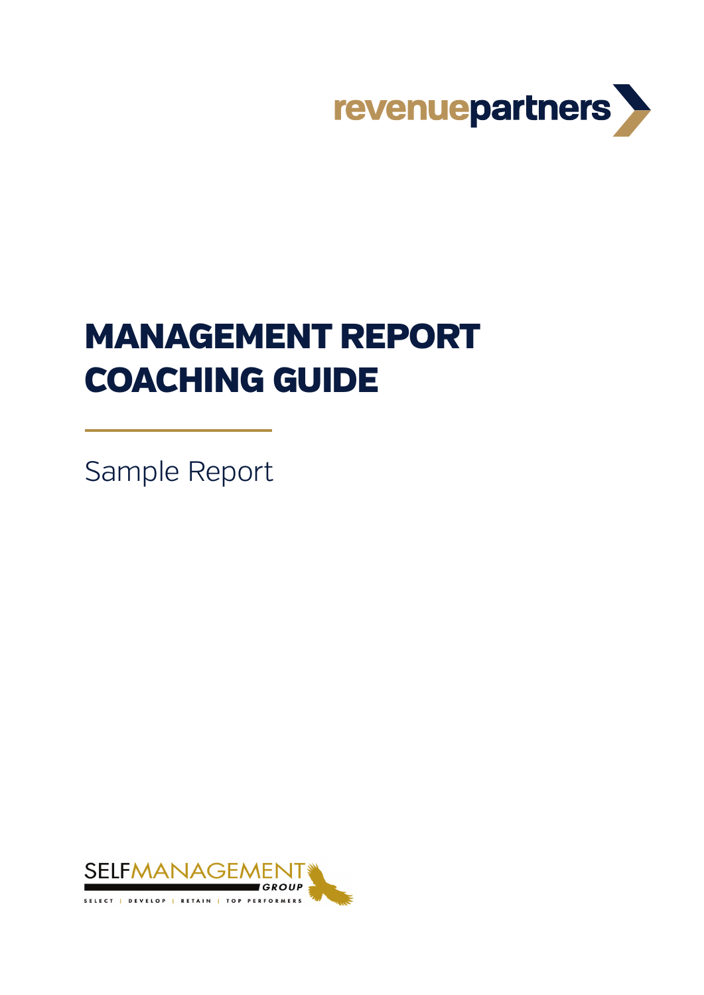

# MANAGEMENT REPORT COACHING GUIDE

Sample Report

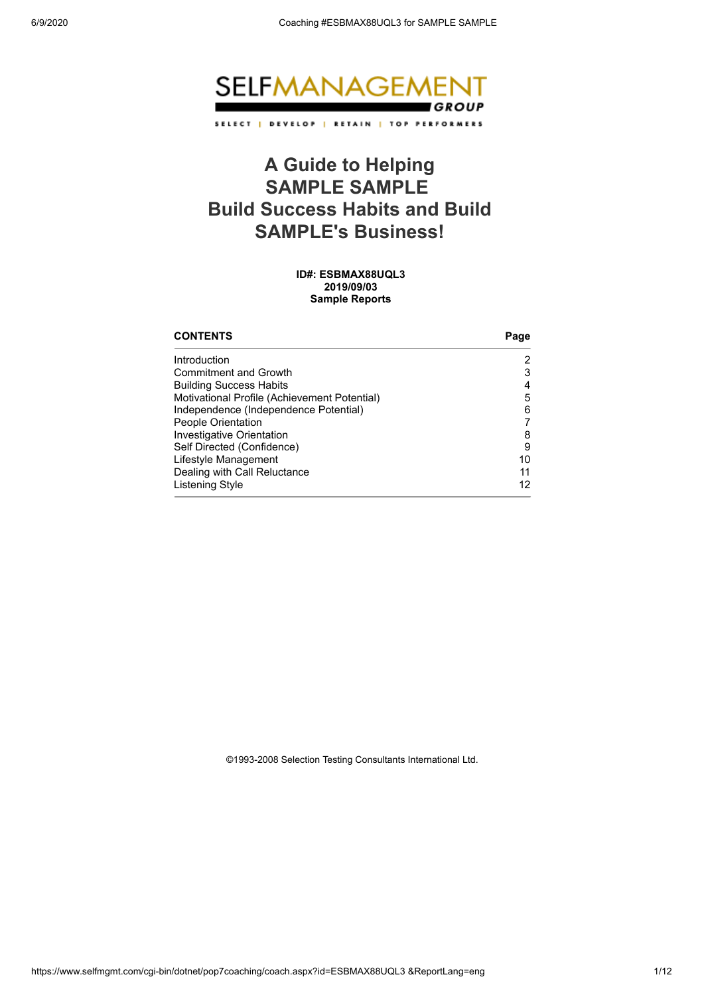

### **A Guide to Helping SAMPLE SAMPLE Build Success Habits and Build SAMPLE's Business!**

**ID#: ESBMAX88UQL3 2019/09/03 Sample Reports**

| <b>CONTENTS</b>                              | Page |
|----------------------------------------------|------|
| Introduction                                 |      |
| <b>Commitment and Growth</b>                 | 3    |
| <b>Building Success Habits</b>               | 4    |
| Motivational Profile (Achievement Potential) | 5    |
| Independence (Independence Potential)        | 6    |
| People Orientation                           |      |
| Investigative Orientation                    | 8    |
| Self Directed (Confidence)                   | 9    |
| Lifestyle Management                         | 10   |
| Dealing with Call Reluctance                 | 11   |
| Listening Style                              | 12   |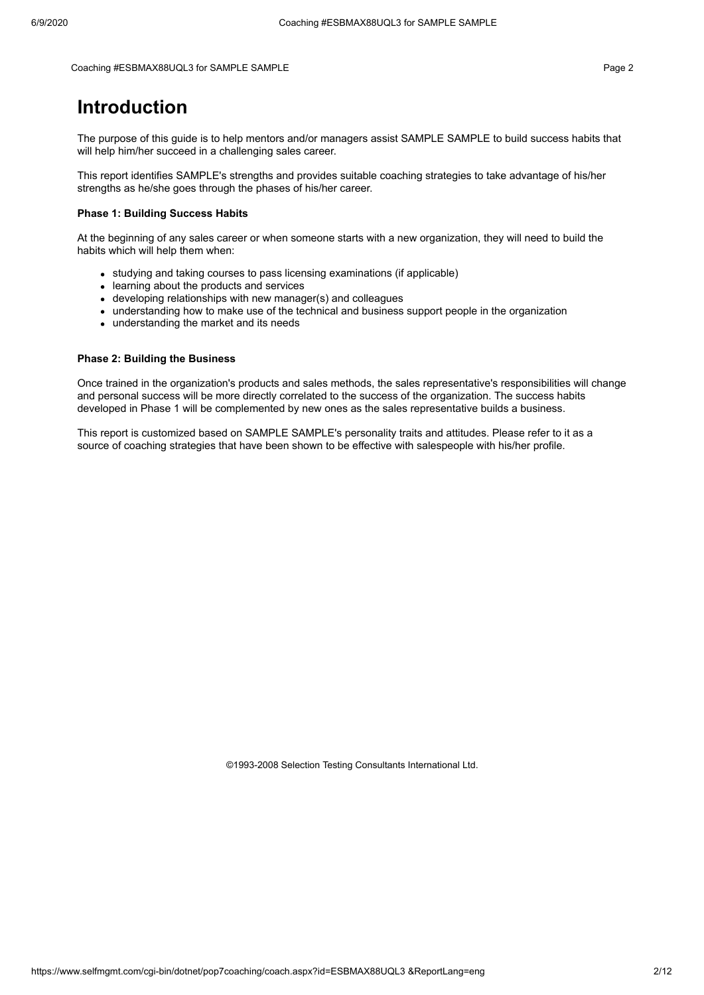Coaching #ESBMAX88UQL3 for SAMPLE SAMPLE **AUGUST 2006** 2012 12:00 2012 12:00 2012 12:00 2012 12:00 2012 12:00 201

### **Introduction**

The purpose of this guide is to help mentors and/or managers assist SAMPLE SAMPLE to build success habits that will help him/her succeed in a challenging sales career.

This report identifies SAMPLE's strengths and provides suitable coaching strategies to take advantage of his/her strengths as he/she goes through the phases of his/her career.

#### **Phase 1: Building Success Habits**

At the beginning of any sales career or when someone starts with a new organization, they will need to build the habits which will help them when:

- studying and taking courses to pass licensing examinations (if applicable)
- learning about the products and services
- developing relationships with new manager(s) and colleagues
- understanding how to make use of the technical and business support people in the organization
- understanding the market and its needs

#### **Phase 2: Building the Business**

Once trained in the organization's products and sales methods, the sales representative's responsibilities will change and personal success will be more directly correlated to the success of the organization. The success habits developed in Phase 1 will be complemented by new ones as the sales representative builds a business.

This report is customized based on SAMPLE SAMPLE's personality traits and attitudes. Please refer to it as a source of coaching strategies that have been shown to be effective with salespeople with his/her profile.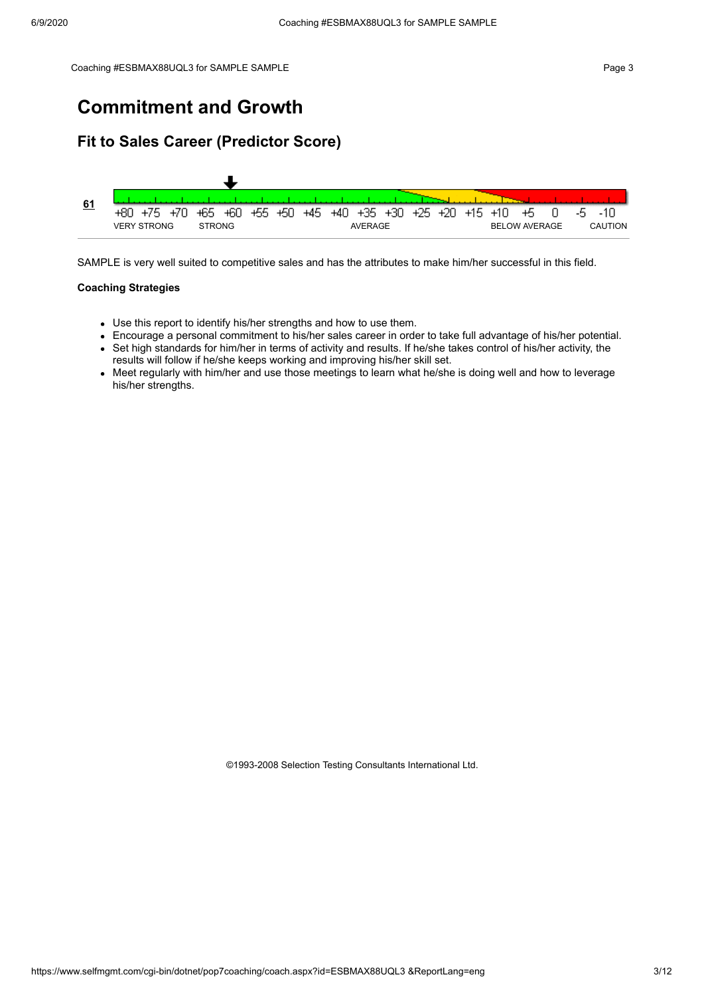### **Commitment and Growth**

### **Fit to Sales Career (Predictor Score)**



SAMPLE is very well suited to competitive sales and has the attributes to make him/her successful in this field.

#### **Coaching Strategies**

- Use this report to identify his/her strengths and how to use them.
- Encourage a personal commitment to his/her sales career in order to take full advantage of his/her potential.
- Set high standards for him/her in terms of activity and results. If he/she takes control of his/her activity, the results will follow if he/she keeps working and improving his/her skill set.
- Meet regularly with him/her and use those meetings to learn what he/she is doing well and how to leverage his/her strengths.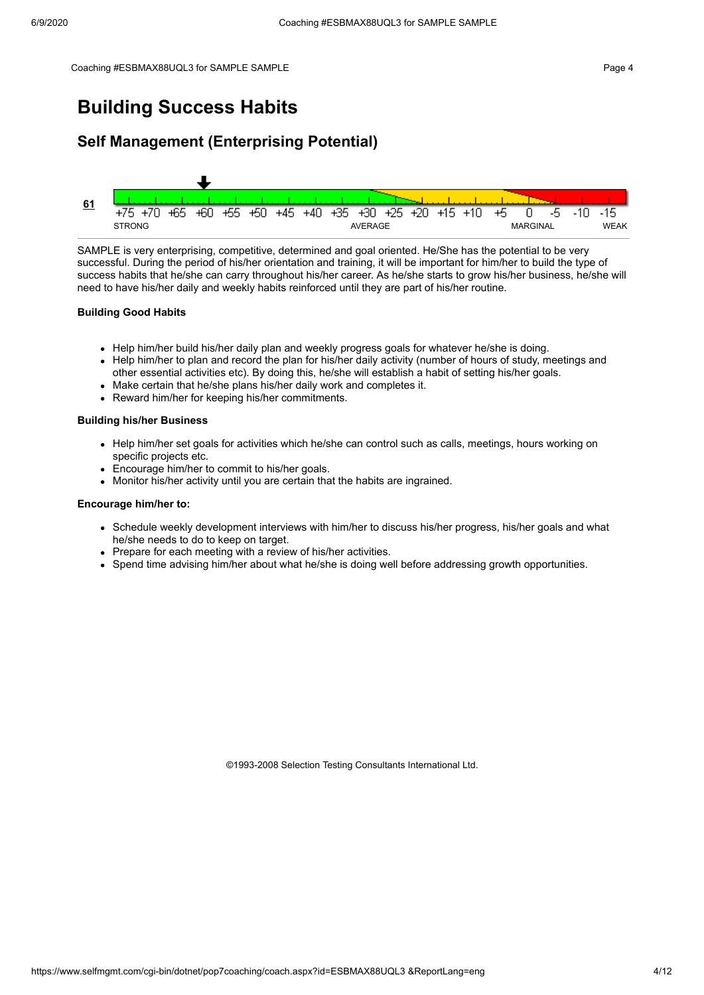### **Building Success Habits**

### **Self Management (Enterprising Potential)**



SAMPLE is very enterprising, competitive, determined and goal oriented. He/She has the potential to be very successful. During the period of his/her orientation and training, it will be important for him/her to build the type of success habits that he/she can carry throughout his/her career. As he/she starts to grow his/her business, he/she will need to have his/her daily and weekly habits reinforced until they are part of his/her routine.

#### **Building Good Habits**

- Help him/her build his/her daily plan and weekly progress goals for whatever he/she is doing.
- Help him/her to plan and record the plan for his/her daily activity (number of hours of study, meetings and other essential activities etc). By doing this, he/she will establish a habit of setting his/her goals.
- Make certain that he/she plans his/her daily work and completes it.
- Reward him/her for keeping his/her commitments.

#### **Building his/her Business**

- Help him/her set goals for activities which he/she can control such as calls, meetings, hours working on specific projects etc.
- Encourage him/her to commit to his/her goals.
- Monitor his/her activity until you are certain that the habits are ingrained.

#### **Encourage him/her to:**

- Schedule weekly development interviews with him/her to discuss his/her progress, his/her goals and what he/she needs to do to keep on target.
- Prepare for each meeting with a review of his/her activities.
- Spend time advising him/her about what he/she is doing well before addressing growth opportunities.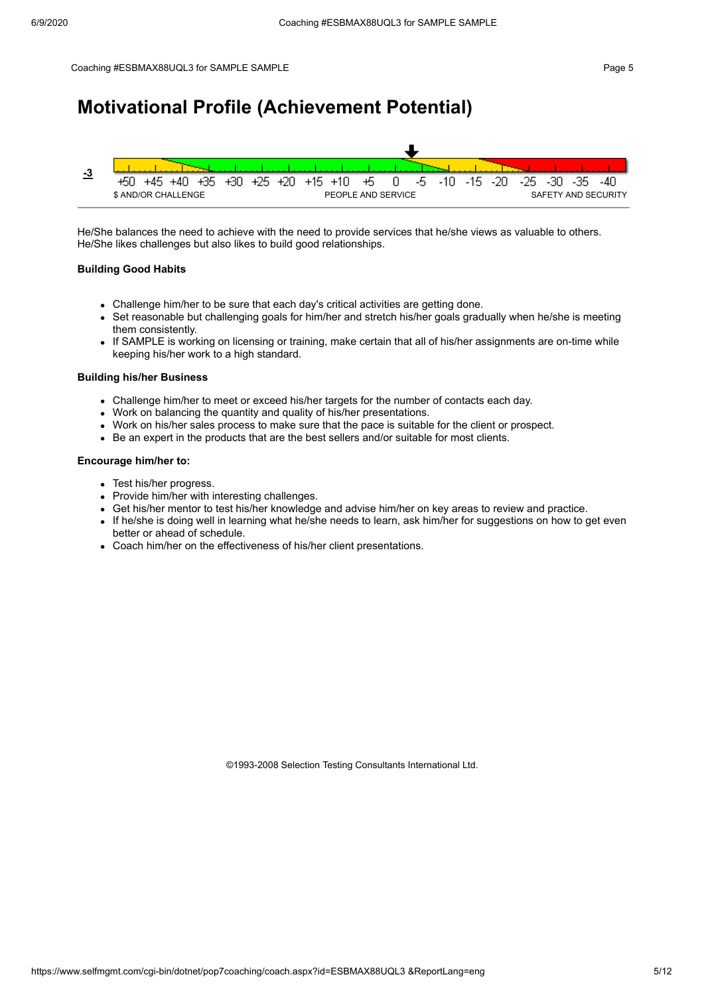### **Motivational Profile (Achievement Potential)**



He/She balances the need to achieve with the need to provide services that he/she views as valuable to others. He/She likes challenges but also likes to build good relationships.

#### **Building Good Habits**

- Challenge him/her to be sure that each day's critical activities are getting done.
- Set reasonable but challenging goals for him/her and stretch his/her goals gradually when he/she is meeting them consistently.
- If SAMPLE is working on licensing or training, make certain that all of his/her assignments are on-time while keeping his/her work to a high standard.

#### **Building his/her Business**

- Challenge him/her to meet or exceed his/her targets for the number of contacts each day.
- Work on balancing the quantity and quality of his/her presentations.
- Work on his/her sales process to make sure that the pace is suitable for the client or prospect.
- Be an expert in the products that are the best sellers and/or suitable for most clients.

#### **Encourage him/her to:**

- Test his/her progress.
- Provide him/her with interesting challenges.
- Get his/her mentor to test his/her knowledge and advise him/her on key areas to review and practice.
- If he/she is doing well in learning what he/she needs to learn, ask him/her for suggestions on how to get even better or ahead of schedule.
- Coach him/her on the effectiveness of his/her client presentations.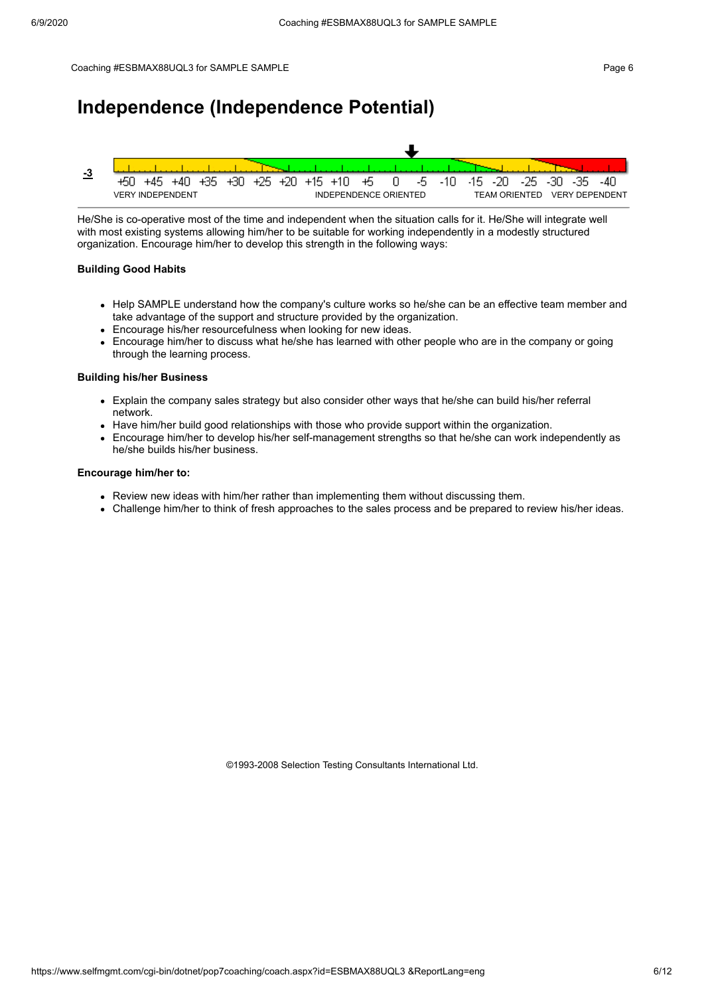### **Independence (Independence Potential)**



He/She is co-operative most of the time and independent when the situation calls for it. He/She will integrate well with most existing systems allowing him/her to be suitable for working independently in a modestly structured organization. Encourage him/her to develop this strength in the following ways:

#### **Building Good Habits**

- Help SAMPLE understand how the company's culture works so he/she can be an effective team member and take advantage of the support and structure provided by the organization.
- Encourage his/her resourcefulness when looking for new ideas.
- Encourage him/her to discuss what he/she has learned with other people who are in the company or going through the learning process.

#### **Building his/her Business**

- Explain the company sales strategy but also consider other ways that he/she can build his/her referral network.
- Have him/her build good relationships with those who provide support within the organization.
- Encourage him/her to develop his/her self-management strengths so that he/she can work independently as he/she builds his/her business.

#### **Encourage him/her to:**

- Review new ideas with him/her rather than implementing them without discussing them.
- Challenge him/her to think of fresh approaches to the sales process and be prepared to review his/her ideas.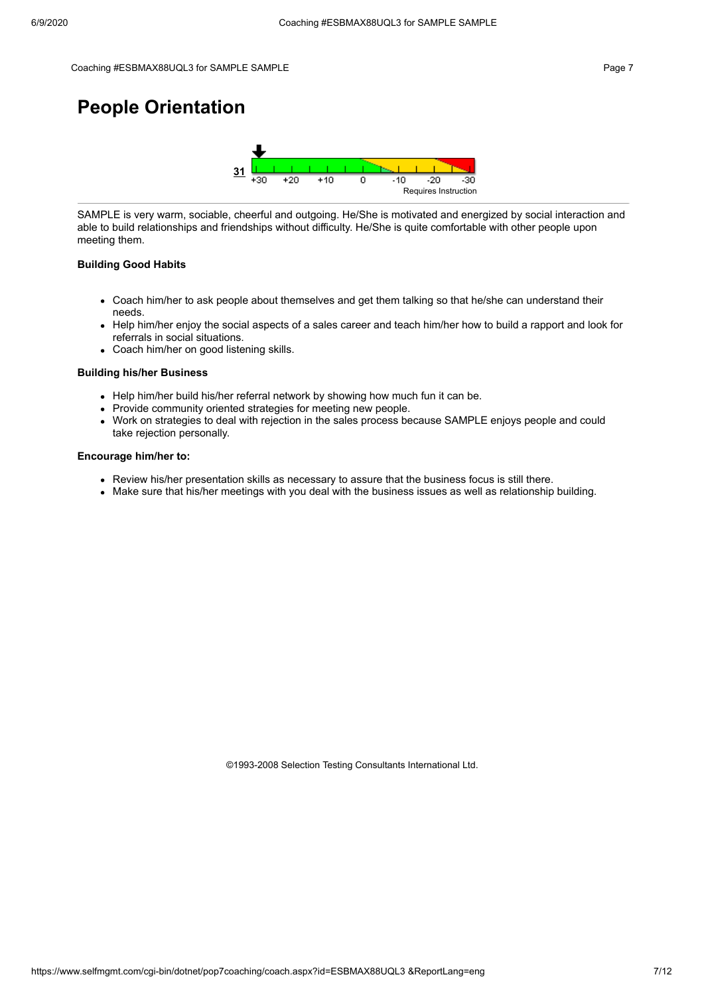#### Coaching #ESBMAX88UQL3 for SAMPLE SAMPLE **Figure 7** and the computation of the control of the Page 7

## **People Orientation**



SAMPLE is very warm, sociable, cheerful and outgoing. He/She is motivated and energized by social interaction and able to build relationships and friendships without difficulty. He/She is quite comfortable with other people upon meeting them.

#### **Building Good Habits**

- Coach him/her to ask people about themselves and get them talking so that he/she can understand their needs.
- Help him/her enjoy the social aspects of a sales career and teach him/her how to build a rapport and look for  $\bullet$ referrals in social situations.
- Coach him/her on good listening skills.

#### **Building his/her Business**

- Help him/her build his/her referral network by showing how much fun it can be.
- Provide community oriented strategies for meeting new people.
- Work on strategies to deal with rejection in the sales process because SAMPLE enjoys people and could take rejection personally.

#### **Encourage him/her to:**

- Review his/her presentation skills as necessary to assure that the business focus is still there.
- Make sure that his/her meetings with you deal with the business issues as well as relationship building.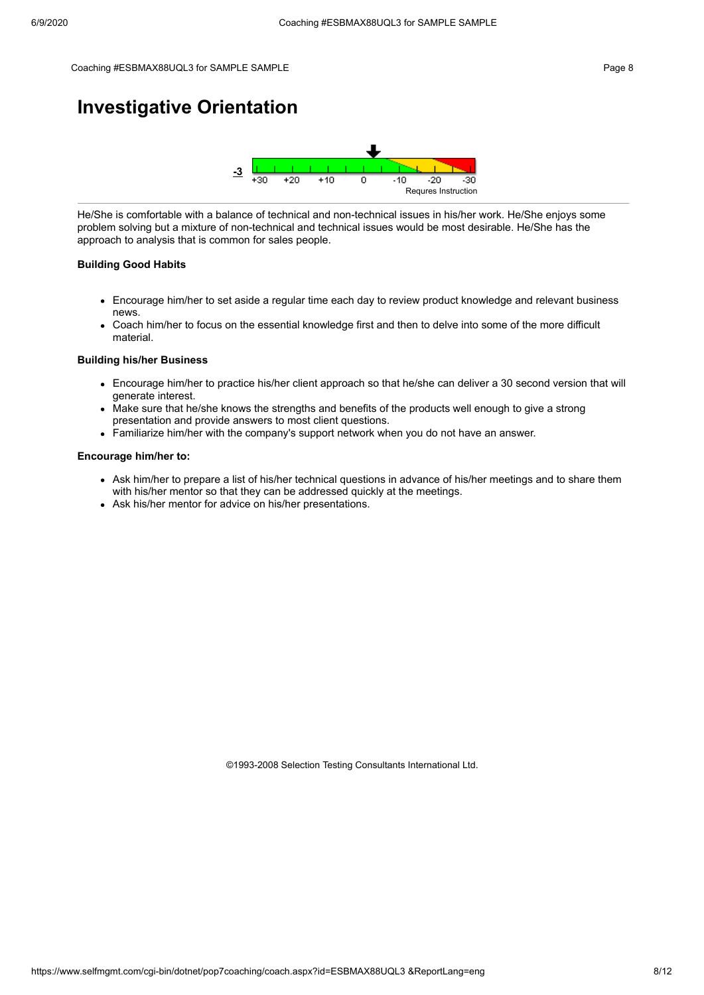### **Investigative Orientation**



He/She is comfortable with a balance of technical and non-technical issues in his/her work. He/She enjoys some problem solving but a mixture of non-technical and technical issues would be most desirable. He/She has the approach to analysis that is common for sales people.

#### **Building Good Habits**

- Encourage him/her to set aside a regular time each day to review product knowledge and relevant business news.
- Coach him/her to focus on the essential knowledge first and then to delve into some of the more difficult material.

#### **Building his/her Business**

- Encourage him/her to practice his/her client approach so that he/she can deliver a 30 second version that will generate interest.
- Make sure that he/she knows the strengths and benefits of the products well enough to give a strong presentation and provide answers to most client questions.
- Familiarize him/her with the company's support network when you do not have an answer.

#### **Encourage him/her to:**

- Ask him/her to prepare a list of his/her technical questions in advance of his/her meetings and to share them with his/her mentor so that they can be addressed quickly at the meetings.
- Ask his/her mentor for advice on his/her presentations.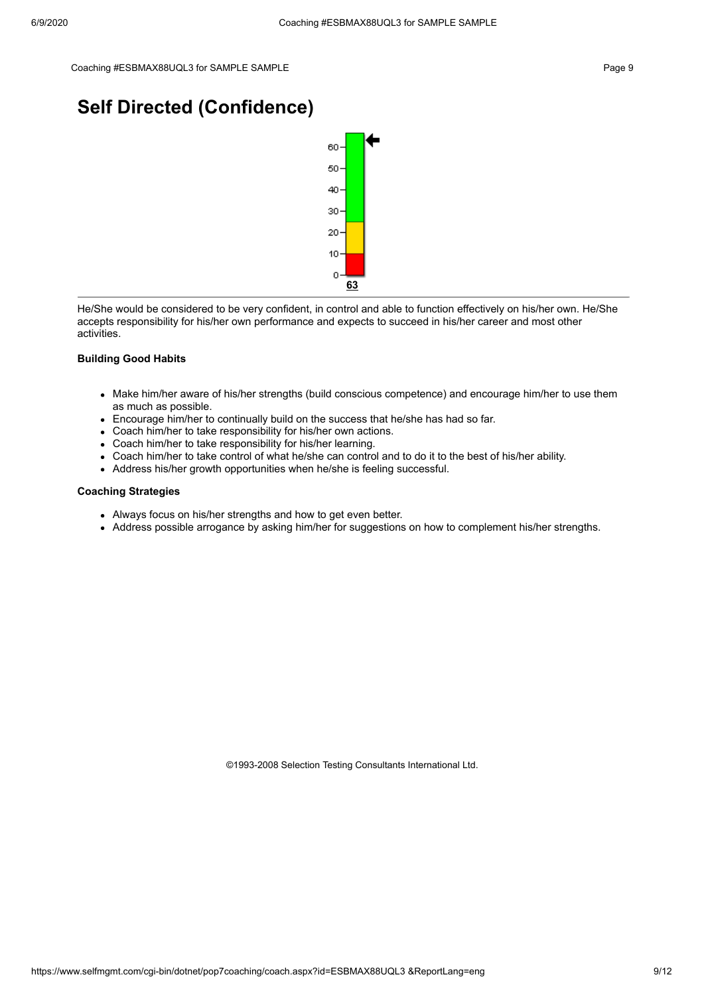### **Self Directed (Confidence)**



He/She would be considered to be very confident, in control and able to function effectively on his/her own. He/She accepts responsibility for his/her own performance and expects to succeed in his/her career and most other activities.

#### **Building Good Habits**

- Make him/her aware of his/her strengths (build conscious competence) and encourage him/her to use them as much as possible.
- Encourage him/her to continually build on the success that he/she has had so far.
- Coach him/her to take responsibility for his/her own actions.
- Coach him/her to take responsibility for his/her learning.
- Coach him/her to take control of what he/she can control and to do it to the best of his/her ability.
- Address his/her growth opportunities when he/she is feeling successful.

#### **Coaching Strategies**

- Always focus on his/her strengths and how to get even better.
- Address possible arrogance by asking him/her for suggestions on how to complement his/her strengths.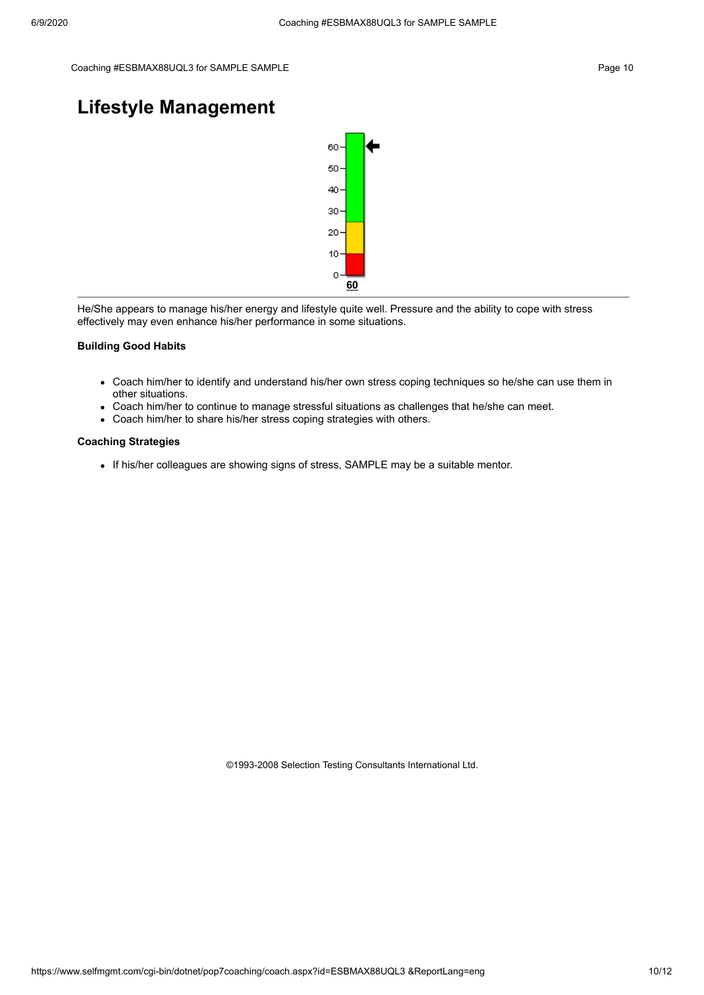### **Lifestyle Management**



He/She appears to manage his/her energy and lifestyle quite well. Pressure and the ability to cope with stress effectively may even enhance his/her performance in some situations.

#### **Building Good Habits**

- Coach him/her to identify and understand his/her own stress coping techniques so he/she can use them in other situations.
- Coach him/her to continue to manage stressful situations as challenges that he/she can meet.
- Coach him/her to share his/her stress coping strategies with others.

#### **Coaching Strategies**

If his/her colleagues are showing signs of stress, SAMPLE may be a suitable mentor.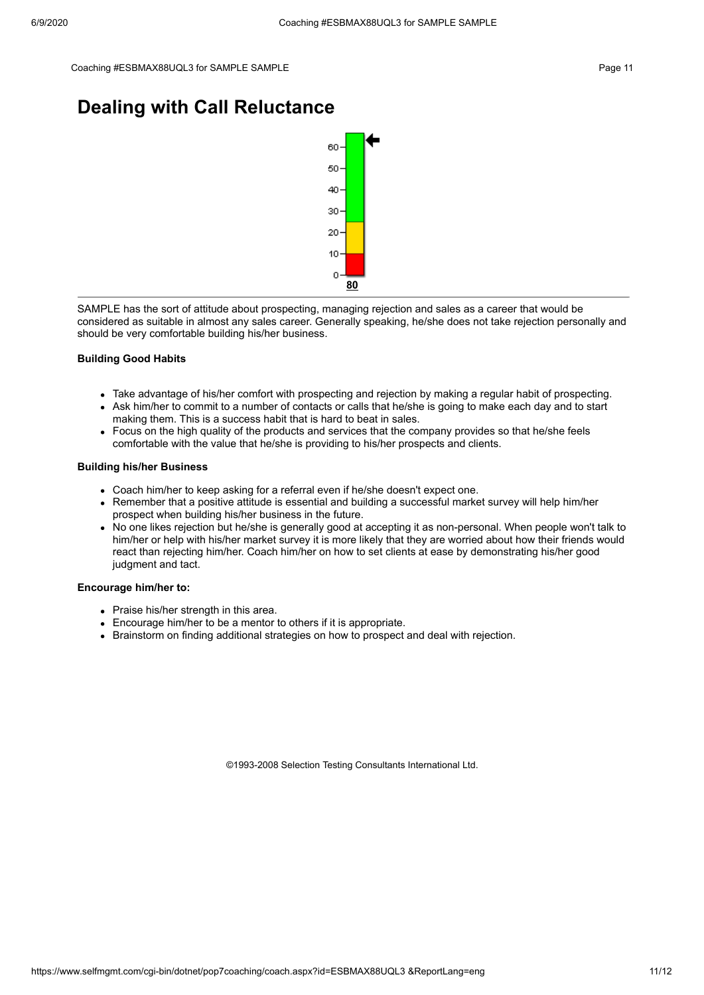### **Dealing with Call Reluctance**



SAMPLE has the sort of attitude about prospecting, managing rejection and sales as a career that would be considered as suitable in almost any sales career. Generally speaking, he/she does not take rejection personally and should be very comfortable building his/her business.

#### **Building Good Habits**

- Take advantage of his/her comfort with prospecting and rejection by making a regular habit of prospecting.
- Ask him/her to commit to a number of contacts or calls that he/she is going to make each day and to start making them. This is a success habit that is hard to beat in sales.
- Focus on the high quality of the products and services that the company provides so that he/she feels comfortable with the value that he/she is providing to his/her prospects and clients.

#### **Building his/her Business**

- Coach him/her to keep asking for a referral even if he/she doesn't expect one.
- Remember that a positive attitude is essential and building a successful market survey will help him/her prospect when building his/her business in the future.
- No one likes rejection but he/she is generally good at accepting it as non-personal. When people won't talk to him/her or help with his/her market survey it is more likely that they are worried about how their friends would react than rejecting him/her. Coach him/her on how to set clients at ease by demonstrating his/her good judgment and tact.

#### **Encourage him/her to:**

- Praise his/her strength in this area.
- Encourage him/her to be a mentor to others if it is appropriate.
- **Brainstorm on finding additional strategies on how to prospect and deal with rejection.**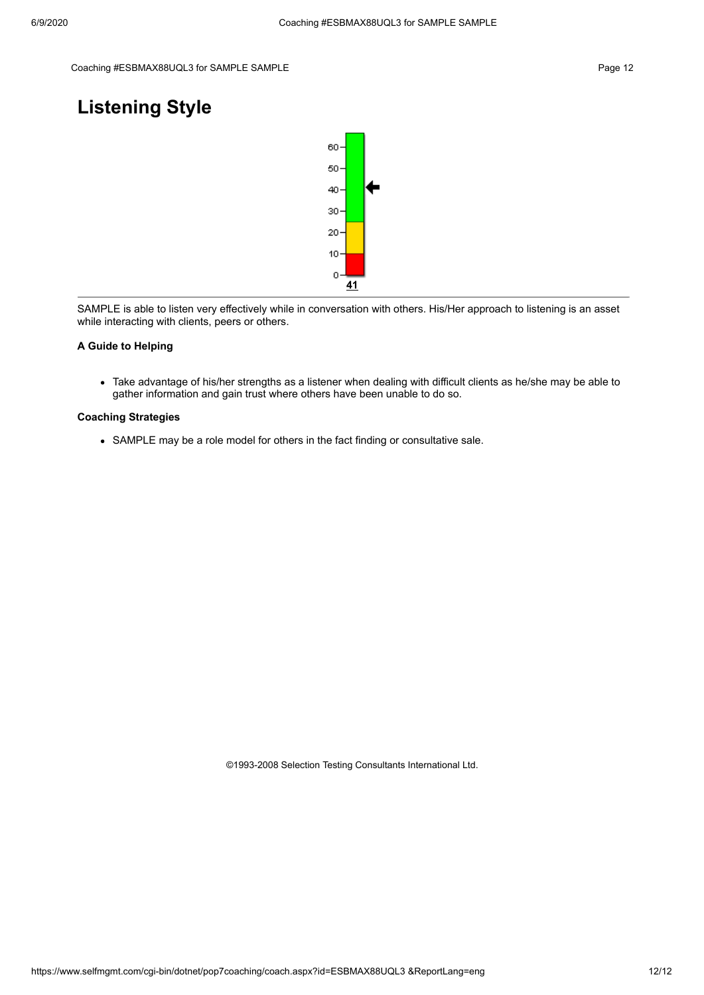### **Listening Style**



SAMPLE is able to listen very effectively while in conversation with others. His/Her approach to listening is an asset while interacting with clients, peers or others.

#### **A Guide to Helping**

Take advantage of his/her strengths as a listener when dealing with difficult clients as he/she may be able to gather information and gain trust where others have been unable to do so.

#### **Coaching Strategies**

SAMPLE may be a role model for others in the fact finding or consultative sale.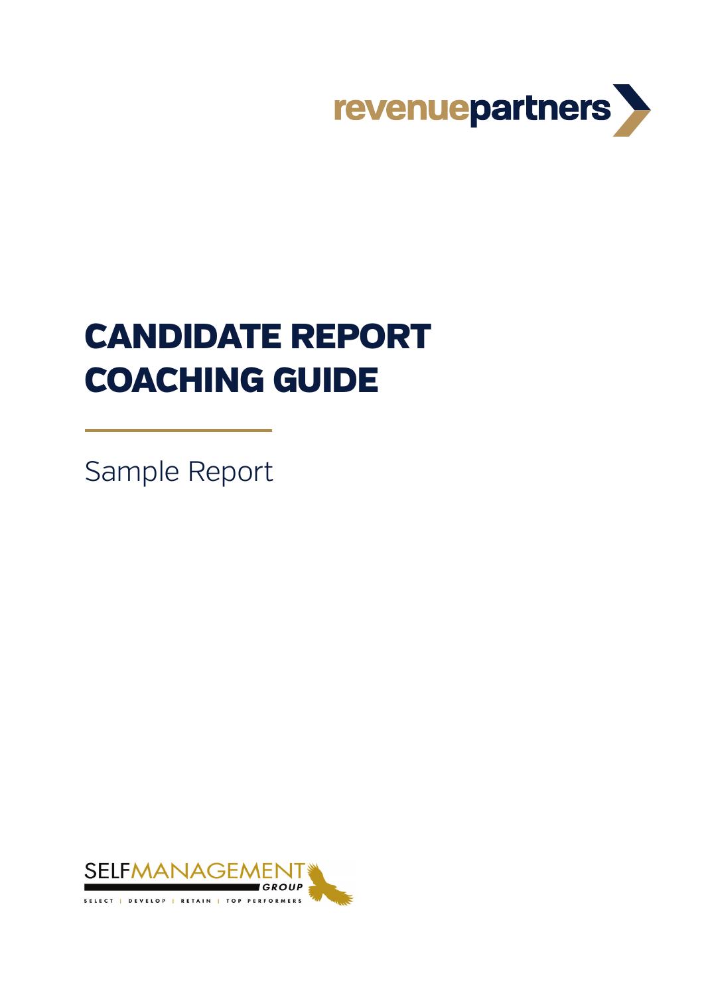

# CANDIDATE REPORT COACHING GUIDE

Sample Report

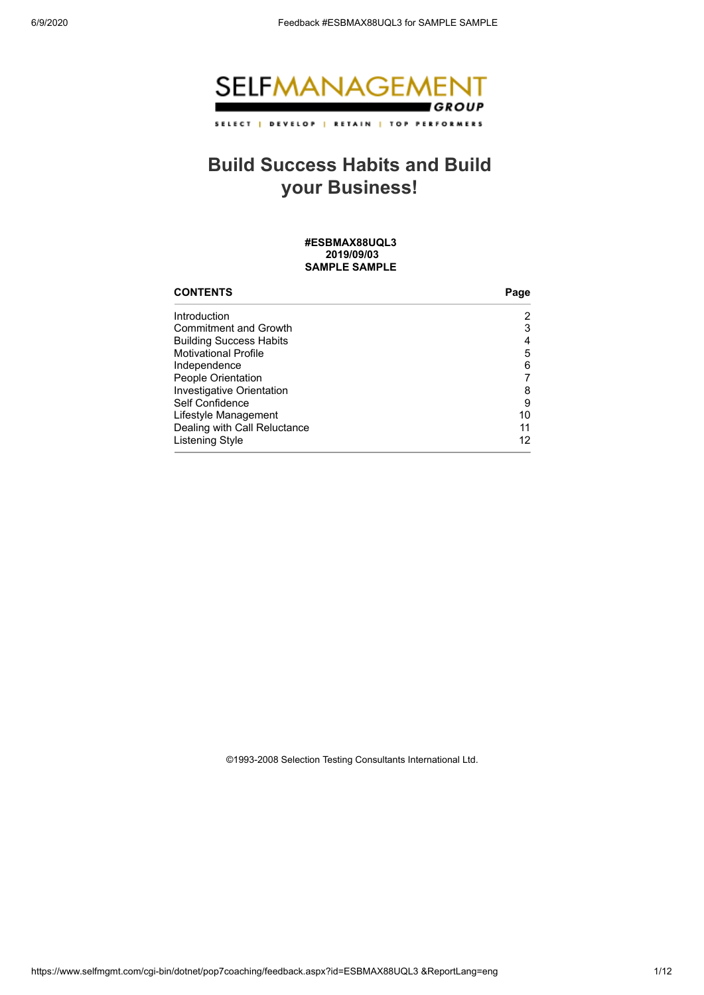

## **Build Success Habits and Build your Business!**

**#ESBMAX88UQL3 2019/09/03 SAMPLE SAMPLE** 

| <b>CONTENTS</b>                | Page |
|--------------------------------|------|
| Introduction                   | 2    |
| <b>Commitment and Growth</b>   | 3    |
| <b>Building Success Habits</b> | 4    |
| <b>Motivational Profile</b>    | 5    |
| Independence                   | 6    |
| People Orientation             |      |
| Investigative Orientation      | 8    |
| Self Confidence                | 9    |
| Lifestyle Management           | 10   |
| Dealing with Call Reluctance   | 11   |
| Listening Style                | 12   |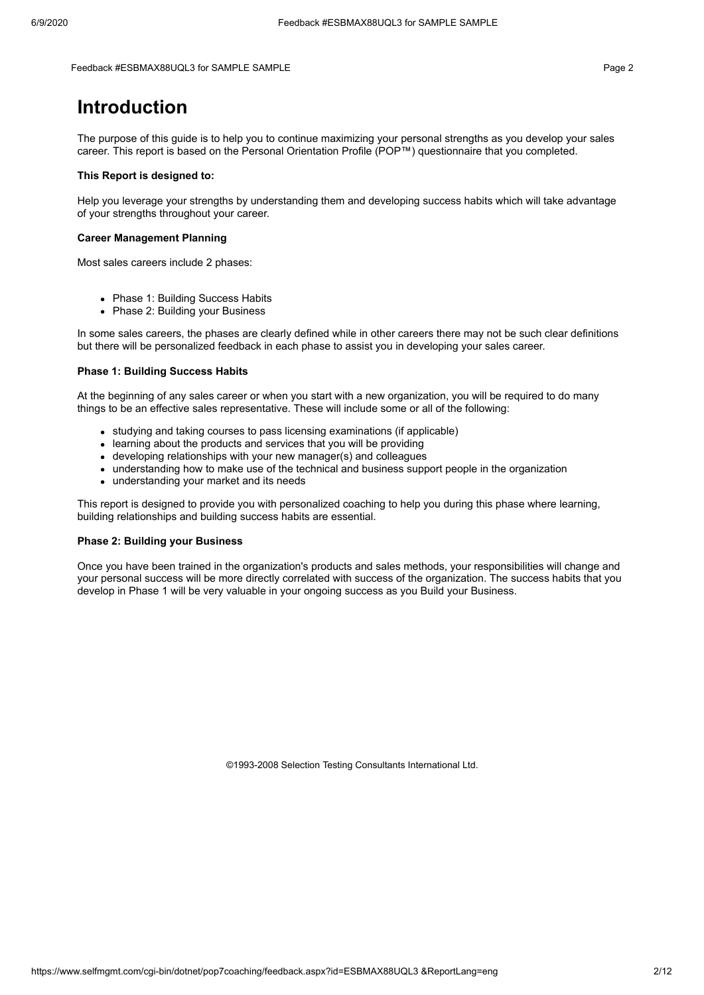#### Feedback #ESBMAX88UQL3 for SAMPLE SAMPLE Page 2

### **Introduction**

The purpose of this guide is to help you to continue maximizing your personal strengths as you develop your sales career. This report is based on the Personal Orientation Profile (POP™) questionnaire that you completed.

#### **This Report is designed to:**

Help you leverage your strengths by understanding them and developing success habits which will take advantage of your strengths throughout your career.

#### **Career Management Planning**

Most sales careers include 2 phases:

- Phase 1: Building Success Habits
- Phase 2: Building your Business

In some sales careers, the phases are clearly defined while in other careers there may not be such clear definitions but there will be personalized feedback in each phase to assist you in developing your sales career.

#### **Phase 1: Building Success Habits**

At the beginning of any sales career or when you start with a new organization, you will be required to do many things to be an effective sales representative. These will include some or all of the following:

- studying and taking courses to pass licensing examinations (if applicable)
- learning about the products and services that you will be providing
- developing relationships with your new manager(s) and colleagues
- understanding how to make use of the technical and business support people in the organization
- understanding your market and its needs

This report is designed to provide you with personalized coaching to help you during this phase where learning, building relationships and building success habits are essential.

#### **Phase 2: Building your Business**

Once you have been trained in the organization's products and sales methods, your responsibilities will change and your personal success will be more directly correlated with success of the organization. The success habits that you develop in Phase 1 will be very valuable in your ongoing success as you Build your Business.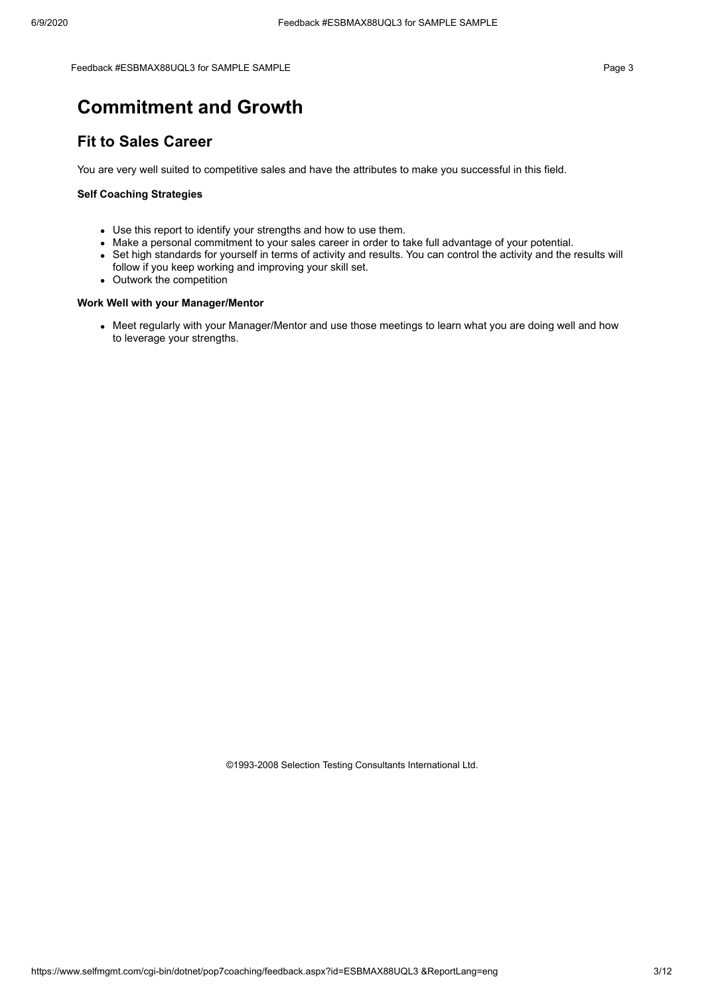Feedback #ESBMAX88UQL3 for SAMPLE SAMPLE **All and Secure 2012** Page 3

### **Commitment and Growth**

### **Fit to Sales Career**

You are very well suited to competitive sales and have the attributes to make you successful in this field.

#### **Self Coaching Strategies**

- Use this report to identify your strengths and how to use them.
- Make a personal commitment to your sales career in order to take full advantage of your potential.
- Set high standards for yourself in terms of activity and results. You can control the activity and the results will follow if you keep working and improving your skill set.
- Outwork the competition

#### **Work Well with your Manager/Mentor**

• Meet regularly with your Manager/Mentor and use those meetings to learn what you are doing well and how to leverage your strengths.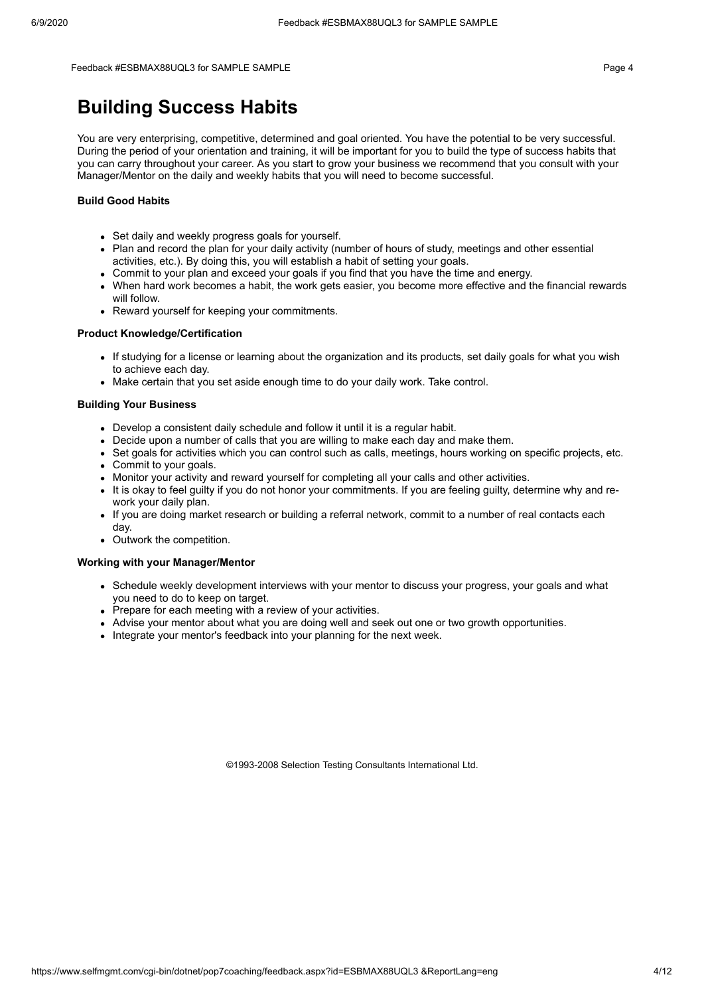#### Feedback #ESBMAX88UQL3 for SAMPLE SAMPLE **For a state of the state of the state of the state of the state of the state of the state of the state of the state of the state of the state of the state of the state of the state**

### **Building Success Habits**

You are very enterprising, competitive, determined and goal oriented. You have the potential to be very successful. During the period of your orientation and training, it will be important for you to build the type of success habits that you can carry throughout your career. As you start to grow your business we recommend that you consult with your Manager/Mentor on the daily and weekly habits that you will need to become successful.

#### **Build Good Habits**

- Set daily and weekly progress goals for yourself.
- Plan and record the plan for your daily activity (number of hours of study, meetings and other essential activities, etc.). By doing this, you will establish a habit of setting your goals.
- Commit to your plan and exceed your goals if you find that you have the time and energy.
- When hard work becomes a habit, the work gets easier, you become more effective and the financial rewards will follow.
- Reward yourself for keeping your commitments.

#### **Product Knowledge/Certification**

- If studying for a license or learning about the organization and its products, set daily goals for what you wish to achieve each day.
- Make certain that you set aside enough time to do your daily work. Take control.

#### **Building Your Business**

- Develop a consistent daily schedule and follow it until it is a regular habit.
- Decide upon a number of calls that you are willing to make each day and make them.
- Set goals for activities which you can control such as calls, meetings, hours working on specific projects, etc.
- Commit to your goals.
- Monitor your activity and reward yourself for completing all your calls and other activities.
- It is okay to feel guilty if you do not honor your commitments. If you are feeling guilty, determine why and rework your daily plan.
- If you are doing market research or building a referral network, commit to a number of real contacts each day.
- Outwork the competition.

#### **Working with your Manager/Mentor**

- Schedule weekly development interviews with your mentor to discuss your progress, your goals and what you need to do to keep on target.
- Prepare for each meeting with a review of your activities.
- Advise your mentor about what you are doing well and seek out one or two growth opportunities.
- Integrate your mentor's feedback into your planning for the next week.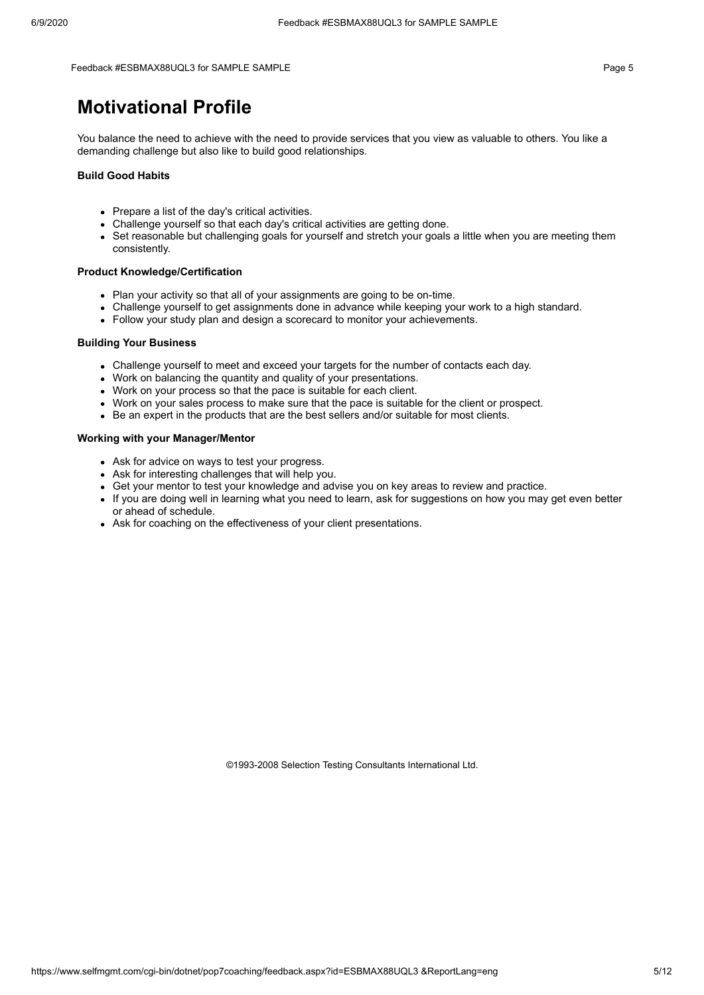Feedback #ESBMAX88UQL3 for SAMPLE SAMPLE Page 5

### **Motivational Profile**

You balance the need to achieve with the need to provide services that you view as valuable to others. You like a demanding challenge but also like to build good relationships.

#### **Build Good Habits**

- Prepare a list of the day's critical activities.
- Challenge yourself so that each day's critical activities are getting done.
- Set reasonable but challenging goals for yourself and stretch your goals a little when you are meeting them consistently.

#### **Product Knowledge/Certification**

- Plan your activity so that all of your assignments are going to be on-time.
- Challenge yourself to get assignments done in advance while keeping your work to a high standard.
- Follow your study plan and design a scorecard to monitor your achievements.

#### **Building Your Business**

- Challenge yourself to meet and exceed your targets for the number of contacts each day.
- Work on balancing the quantity and quality of your presentations.
- Work on your process so that the pace is suitable for each client.
- Work on your sales process to make sure that the pace is suitable for the client or prospect.
- Be an expert in the products that are the best sellers and/or suitable for most clients.

#### **Working with your Manager/Mentor**

- Ask for advice on ways to test your progress.
- Ask for interesting challenges that will help you.
- Get your mentor to test your knowledge and advise you on key areas to review and practice.
- If you are doing well in learning what you need to learn, ask for suggestions on how you may get even better or ahead of schedule.
- Ask for coaching on the effectiveness of your client presentations.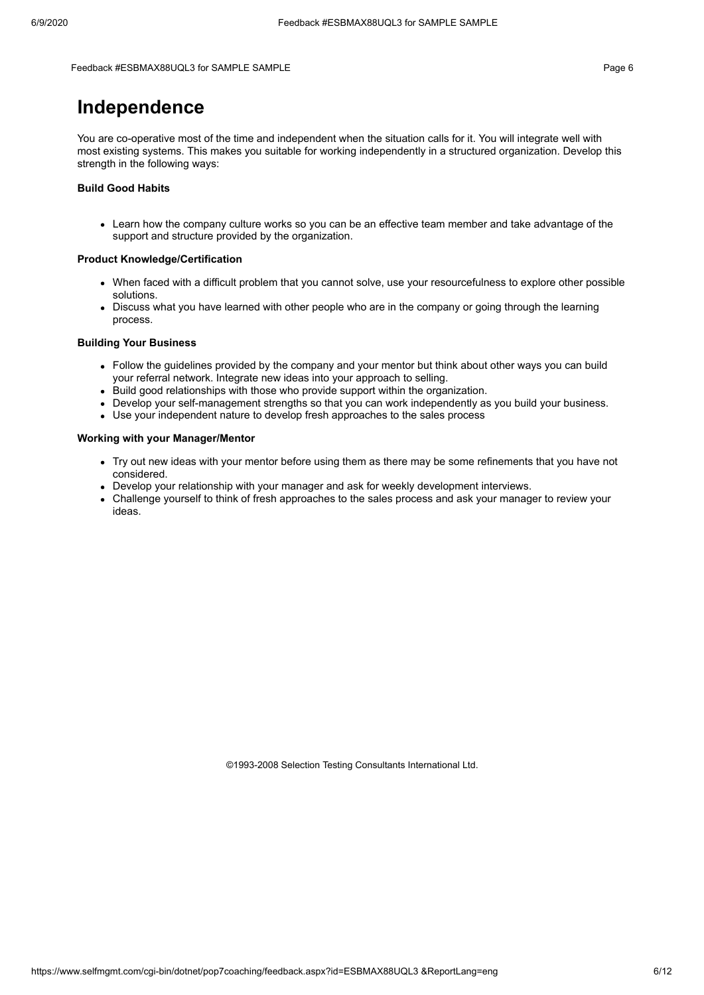#### Feedback #ESBMAX88UQL3 for SAMPLE SAMPLE **All and Secure 2012** Page 6

### **Independence**

You are co-operative most of the time and independent when the situation calls for it. You will integrate well with most existing systems. This makes you suitable for working independently in a structured organization. Develop this strength in the following ways:

#### **Build Good Habits**

Learn how the company culture works so you can be an effective team member and take advantage of the support and structure provided by the organization.

#### **Product Knowledge/Certification**

- When faced with a difficult problem that you cannot solve, use your resourcefulness to explore other possible solutions.
- Discuss what you have learned with other people who are in the company or going through the learning process.

#### **Building Your Business**

- Follow the guidelines provided by the company and your mentor but think about other ways you can build your referral network. Integrate new ideas into your approach to selling.
- Build good relationships with those who provide support within the organization.
- Develop your self-management strengths so that you can work independently as you build your business.
- Use your independent nature to develop fresh approaches to the sales process

#### **Working with your Manager/Mentor**

- Try out new ideas with your mentor before using them as there may be some refinements that you have not considered.
- Develop your relationship with your manager and ask for weekly development interviews.
- Challenge yourself to think of fresh approaches to the sales process and ask your manager to review your ideas.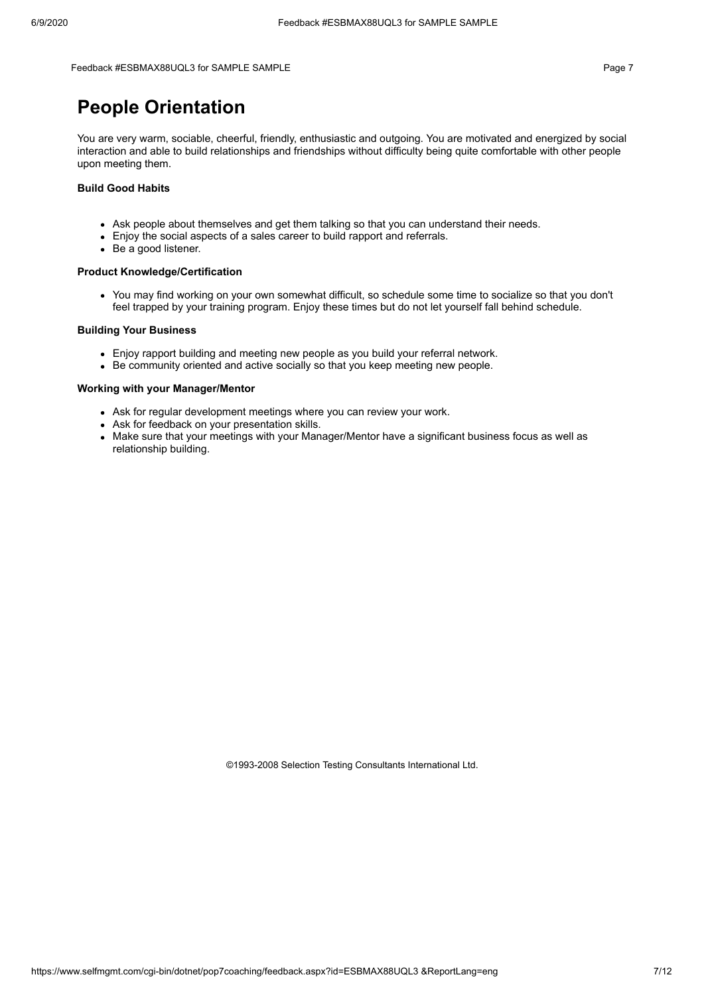#### Feedback #ESBMAX88UQL3 for SAMPLE SAMPLE **For a state of the state of the state of the state of the Page 7**

### **People Orientation**

You are very warm, sociable, cheerful, friendly, enthusiastic and outgoing. You are motivated and energized by social interaction and able to build relationships and friendships without difficulty being quite comfortable with other people upon meeting them.

#### **Build Good Habits**

- Ask people about themselves and get them talking so that you can understand their needs.
- Enjoy the social aspects of a sales career to build rapport and referrals.
- Be a good listener.

#### **Product Knowledge/Certification**

You may find working on your own somewhat difficult, so schedule some time to socialize so that you don't feel trapped by your training program. Enjoy these times but do not let yourself fall behind schedule.

#### **Building Your Business**

- Enjoy rapport building and meeting new people as you build your referral network.
- Be community oriented and active socially so that you keep meeting new people.

#### **Working with your Manager/Mentor**

- Ask for regular development meetings where you can review your work.
- Ask for feedback on your presentation skills.
- Make sure that your meetings with your Manager/Mentor have a significant business focus as well as relationship building.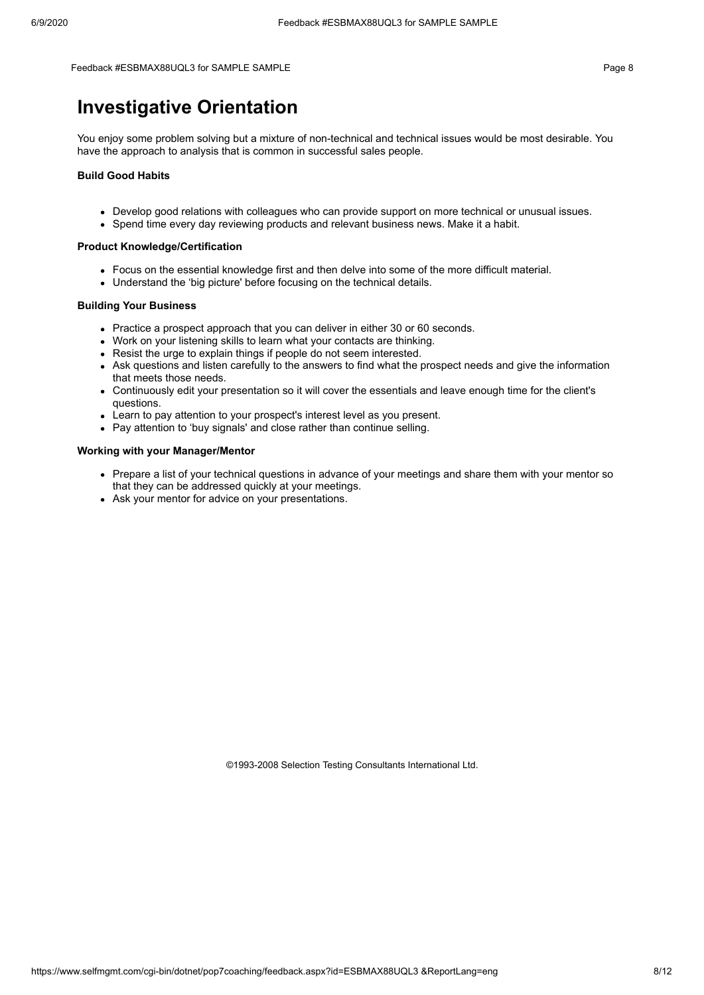Feedback #ESBMAX88UQL3 for SAMPLE SAMPLE Page 8

### **Investigative Orientation**

You enjoy some problem solving but a mixture of non-technical and technical issues would be most desirable. You have the approach to analysis that is common in successful sales people.

#### **Build Good Habits**

- Develop good relations with colleagues who can provide support on more technical or unusual issues.
- Spend time every day reviewing products and relevant business news. Make it a habit.

### **Product Knowledge/Certification**

- Focus on the essential knowledge first and then delve into some of the more difficult material.
- Understand the 'big picture' before focusing on the technical details.

#### **Building Your Business**

- Practice a prospect approach that you can deliver in either 30 or 60 seconds.
- Work on your listening skills to learn what your contacts are thinking.
- Resist the urge to explain things if people do not seem interested.
- Ask questions and listen carefully to the answers to find what the prospect needs and give the information that meets those needs.
- Continuously edit your presentation so it will cover the essentials and leave enough time for the client's questions.
- Learn to pay attention to your prospect's interest level as you present.
- Pay attention to 'buy signals' and close rather than continue selling.

#### **Working with your Manager/Mentor**

- Prepare a list of your technical questions in advance of your meetings and share them with your mentor so that they can be addressed quickly at your meetings.
- Ask your mentor for advice on your presentations.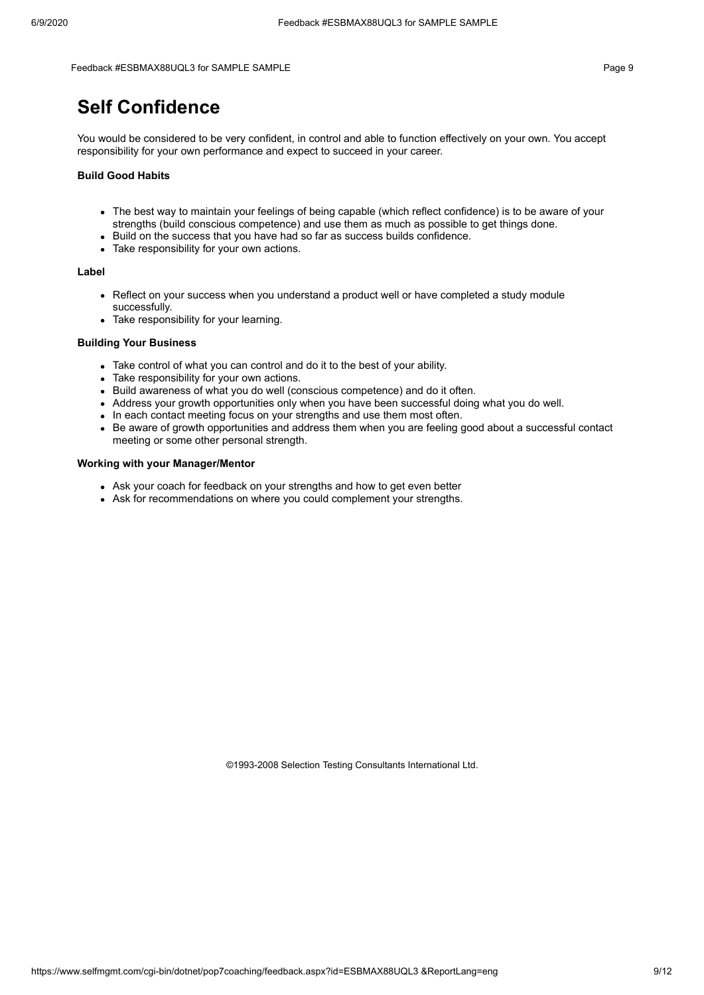Feedback #ESBMAX88UQL3 for SAMPLE SAMPLE Page 9

### **Self Confidence**

You would be considered to be very confident, in control and able to function effectively on your own. You accept responsibility for your own performance and expect to succeed in your career.

#### **Build Good Habits**

- The best way to maintain your feelings of being capable (which reflect confidence) is to be aware of your strengths (build conscious competence) and use them as much as possible to get things done.
- Build on the success that you have had so far as success builds confidence.
- Take responsibility for your own actions.

#### **Label**

- Reflect on your success when you understand a product well or have completed a study module successfully.
- Take responsibility for your learning.

#### **Building Your Business**

- Take control of what you can control and do it to the best of your ability.
- Take responsibility for your own actions.
- Build awareness of what you do well (conscious competence) and do it often.
- Address your growth opportunities only when you have been successful doing what you do well.
- In each contact meeting focus on your strengths and use them most often.
- Be aware of growth opportunities and address them when you are feeling good about a successful contact meeting or some other personal strength.

### **Working with your Manager/Mentor**

- Ask your coach for feedback on your strengths and how to get even better
- Ask for recommendations on where you could complement your strengths.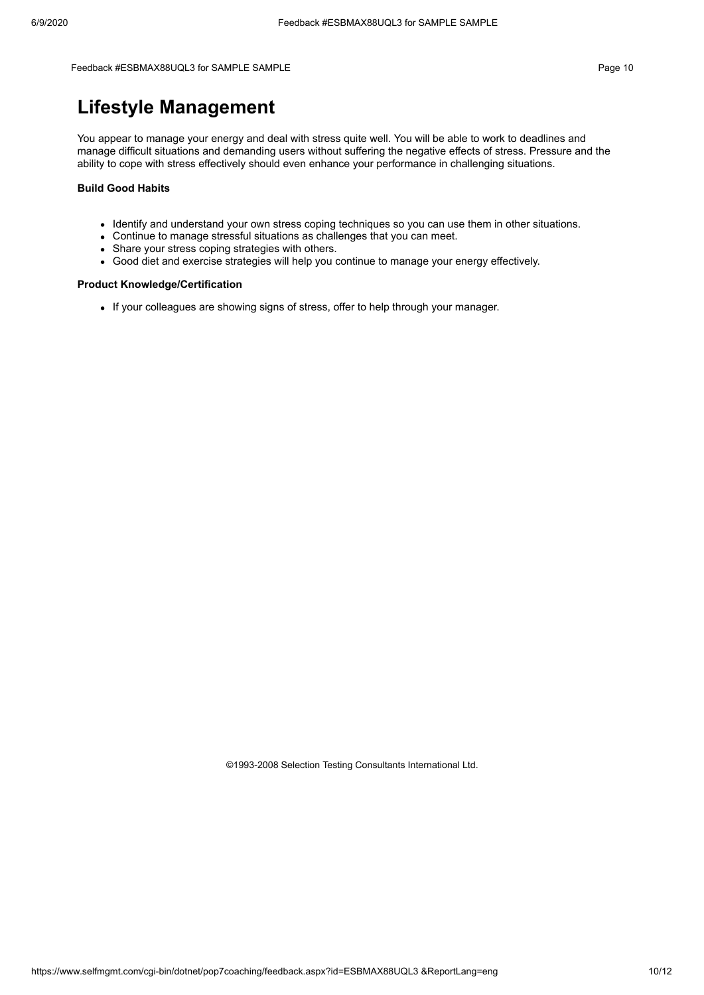#### Feedback #ESBMAX88UQL3 for SAMPLE SAMPLE **All and the set of the set of the set of the set of the set of the set of the set of the set of the set of the set of the set of the set of the set of the set of the set of the set**

## **Lifestyle Management**

You appear to manage your energy and deal with stress quite well. You will be able to work to deadlines and manage difficult situations and demanding users without suffering the negative effects of stress. Pressure and the ability to cope with stress effectively should even enhance your performance in challenging situations.

#### **Build Good Habits**

- Identify and understand your own stress coping techniques so you can use them in other situations.
- Continue to manage stressful situations as challenges that you can meet.
- Share your stress coping strategies with others.
- Good diet and exercise strategies will help you continue to manage your energy effectively.

#### **Product Knowledge/Certification**

• If your colleagues are showing signs of stress, offer to help through your manager.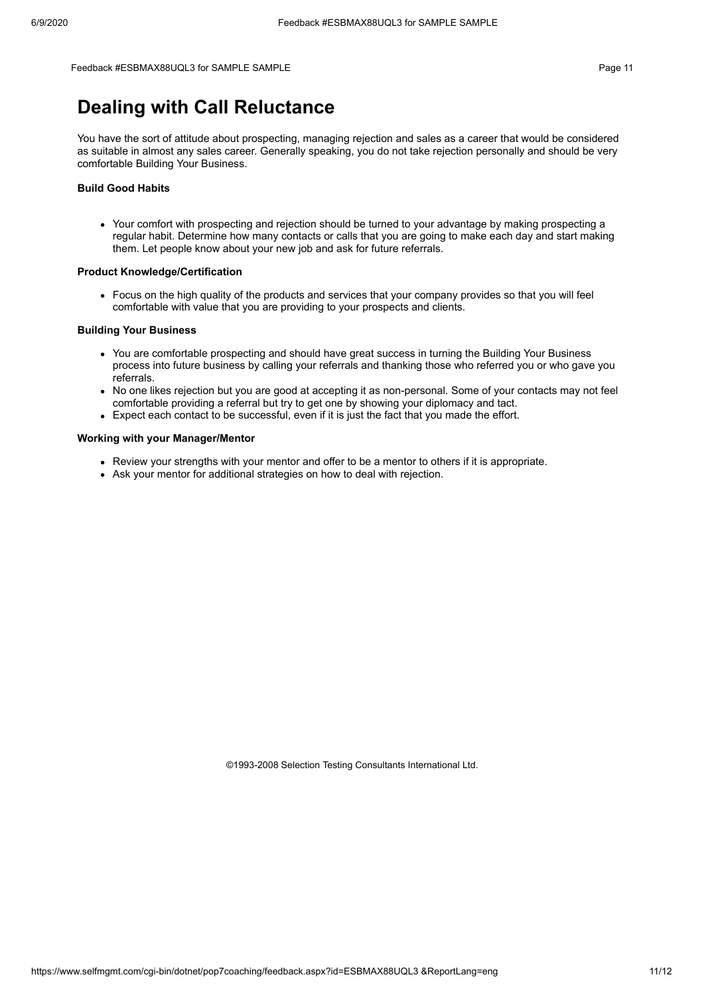Feedback #ESBMAX88UQL3 for SAMPLE SAMPLE **For a state of the state of the state of the state of the state of the state of the state of the state of the state of the state of the state of the state of the state of the state** 

## **Dealing with Call Reluctance**

You have the sort of attitude about prospecting, managing rejection and sales as a career that would be considered as suitable in almost any sales career. Generally speaking, you do not take rejection personally and should be very comfortable Building Your Business.

#### **Build Good Habits**

Your comfort with prospecting and rejection should be turned to your advantage by making prospecting a regular habit. Determine how many contacts or calls that you are going to make each day and start making them. Let people know about your new job and ask for future referrals.

#### **Product Knowledge/Certification**

Focus on the high quality of the products and services that your company provides so that you will feel comfortable with value that you are providing to your prospects and clients.

#### **Building Your Business**

- You are comfortable prospecting and should have great success in turning the Building Your Business process into future business by calling your referrals and thanking those who referred you or who gave you referrals.
- No one likes rejection but you are good at accepting it as non-personal. Some of your contacts may not feel comfortable providing a referral but try to get one by showing your diplomacy and tact.
- Expect each contact to be successful, even if it is just the fact that you made the effort.

#### **Working with your Manager/Mentor**

- Review your strengths with your mentor and offer to be a mentor to others if it is appropriate.
- Ask your mentor for additional strategies on how to deal with rejection.